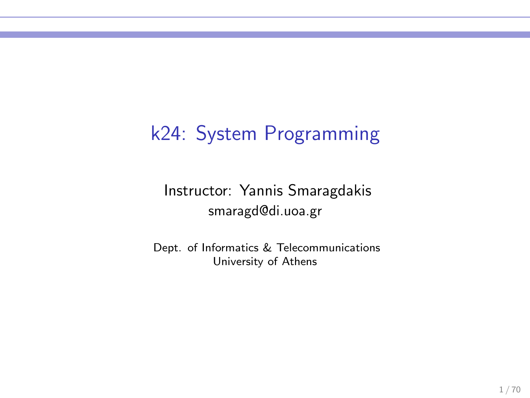### k24: System Programming

Instructor: Yannis Smaragdakis smaragd@di.uoa.gr

Dept. of Informatics & Telecommunications University of Athens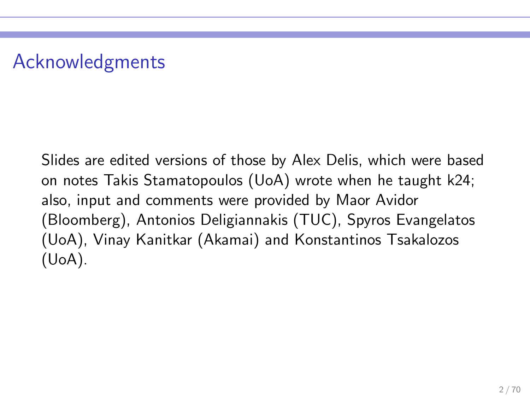# Acknowledgments

Slides are edited versions of those by Alex Delis, which were based on notes Takis Stamatopoulos (UoA) wrote when he taught k24; also, input and comments were provided by Maor Avidor (Bloomberg), Antonios Deligiannakis (TUC), Spyros Evangelatos (UoA), Vinay Kanitkar (Akamai) and Konstantinos Tsakalozos (UoA).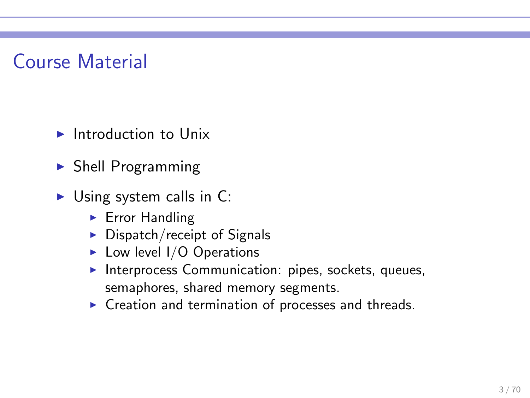### Course Material

- $\blacktriangleright$  Introduction to Unix
- $\triangleright$  Shell Programming
- $\triangleright$  Using system calls in C:
	- ► Error Handling
	- $\triangleright$  Dispatch/receipt of Signals
	- $\blacktriangleright$  Low level I/O Operations
	- ▶ Interprocess Communication: pipes, sockets, queues, semaphores, shared memory segments.
	- ▶ Creation and termination of processes and threads.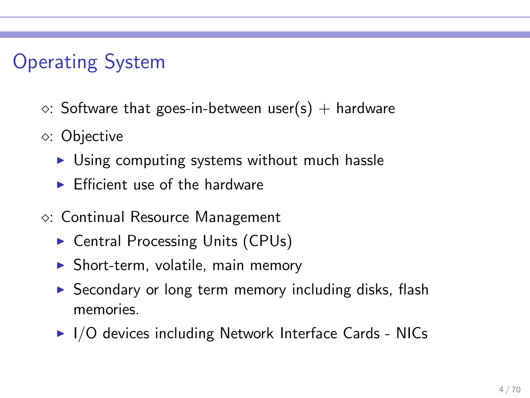# Operating System

- $\circ$ : Software that goes-in-between user(s) + hardware
- ⋄: Objective
	- ► Using computing systems without much hassle
	- $\blacktriangleright$  Efficient use of the hardware
- ⋄: Continual Resource Management
	- ► Central Processing Units (CPUs)
	- $\triangleright$  Short-term, volatile, main memory
	- ▶ Secondary or long term memory including disks, flash memories.
	- $\blacktriangleright$  I/O devices including Network Interface Cards NICs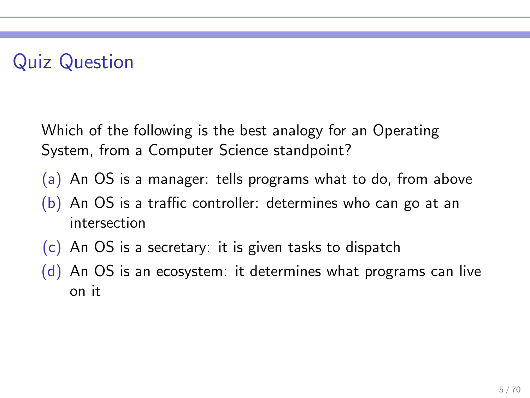# Quiz Question

Which of the following is the best analogy for an Operating System, from a Computer Science standpoint?

- (a) An OS is a manager: tells programs what to do, from above
- $(b)$  An OS is a traffic controller: determines who can go at an intersection
- $(c)$  An OS is a secretary: it is given tasks to dispatch
- (d) An OS is an ecosystem: it determines what programs can live on it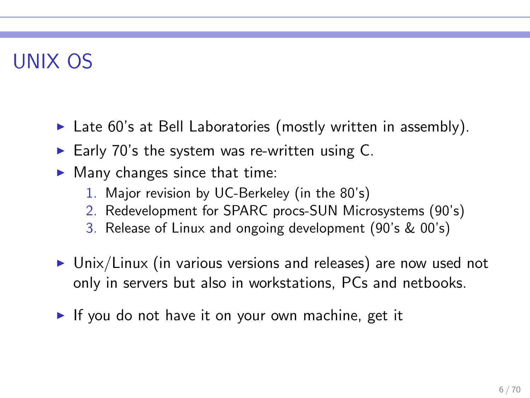# UNIX OS

- $\triangleright$  Late 60's at Bell Laboratories (mostly written in assembly).
- Early 70's the system was re-written using  $C$ .
- $\blacktriangleright$  Many changes since that time:
	- 1. Major revision by UC-Berkeley (in the 80's)
	- 2. Redevelopment for SPARC procs-SUN Microsystems (90's)
	- 3. Release of Linux and ongoing development (90's & 00's)
- ▶ Unix/Linux (in various versions and releases) are now used not only in servers but also in workstations, PCs and netbooks.
- ► If you do not have it on your own machine, get it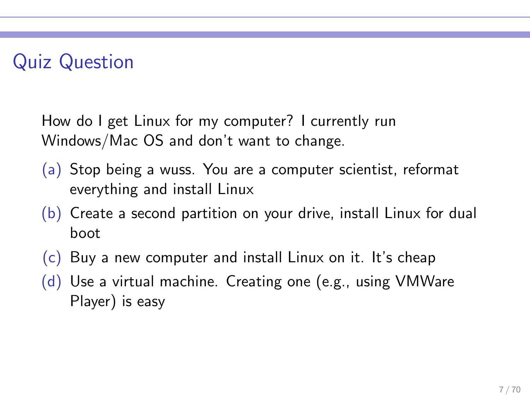# Quiz Question

How do I get Linux for my computer? I currently run Windows/Mac OS and don't want to change.

- (a) Stop being a wuss. You are a computer scientist, reformat everything and install Linux
- (b) Create a second partition on your drive, install Linux for dual boot
- $(c)$  Buy a new computer and install Linux on it. It's cheap
- (d) Use a virtual machine. Creating one (e.g., using VMWare Player) is easy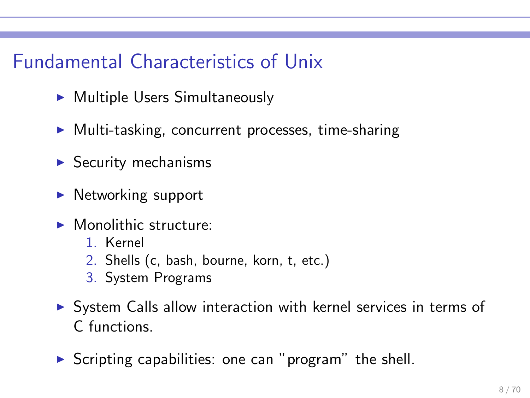### Fundamental Characteristics of Unix

- ► Multiple Users Simultaneously
- ▶ Multi-tasking, concurrent processes, time-sharing
- $\blacktriangleright$  Security mechanisms
- $\blacktriangleright$  Networking support
- $\blacktriangleright$  Monolithic structure:
	- 1. Kernel
	- 2. Shells (c, bash, bourne, korn, t, etc.)
	- 3. System Programs
- ▶ System Calls allow interaction with kernel services in terms of C functions.
- $\triangleright$  Scripting capabilities: one can "program" the shell.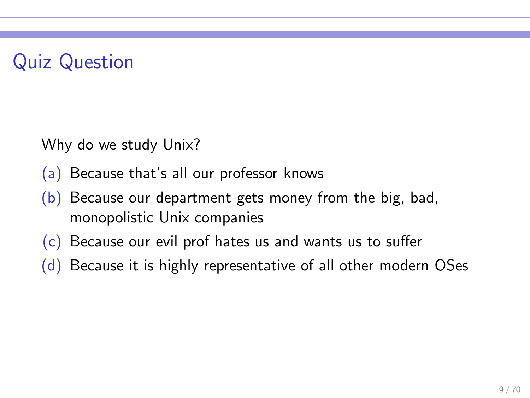# Quiz Question

Why do we study Unix?

- (a) Because that's all our professor knows
- (b) Because our department gets money from the big, bad, monopolistic Unix companies
- (c) Because our evil prof hates us and wants us to suffer
- (d) Because it is highly representative of all other modern OSes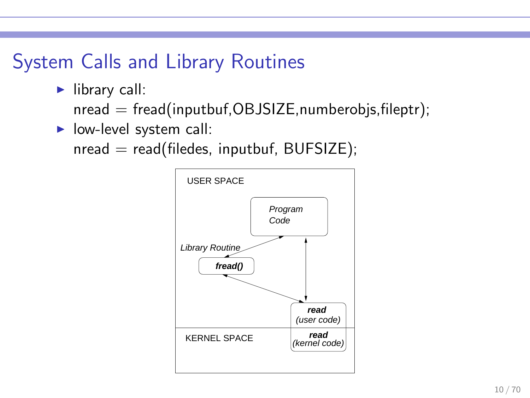### System Calls and Library Routines

 $\blacktriangleright$  library call:

 $nread = \frac{fread(inputbuf,OBJSIZE,numberobj,s,fileptr)}{Fend}$ 

 $\blacktriangleright$  low-level system call:

 $nread = read(filedes, inputbuf, BUFFSIZE);$ 

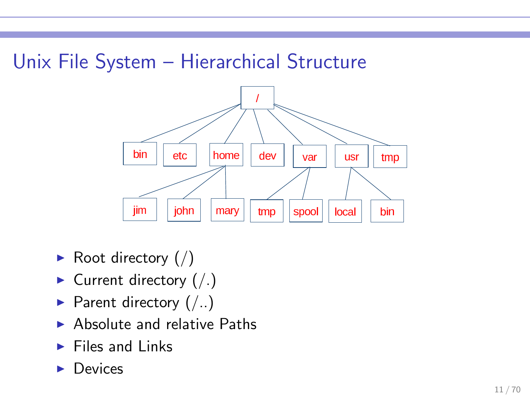### Unix File System – Hierarchical Structure



- Root directory  $\binom{7}{2}$
- $\blacktriangleright$  Current directory (/.)
- Parent directory  $($ ..)
- $\blacktriangleright$  Absolute and relative Paths
- $\blacktriangleright$  Files and Links
- **Devices**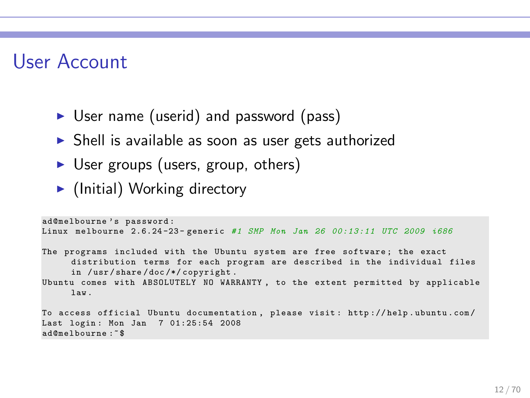### User Account

- ► User name (userid) and password (pass)
- ► Shell is available as soon as user gets authorized
- ► User groups (users, group, others)
- $\blacktriangleright$  (Initial) Working directory

```
ad@melbourne's password:
Linux melbourne 2.6.24 -23 - generic # 1 SMP Mon Jan 26 00:13:11 UTC 2009 i686
The programs included with the Ubuntu system are free software; the exact
     distribution terms for each program are described in the individual files
     in /usr/share/doc/*/copyright.
Ubuntu comes with ABSOLUTELY NO WARRANTY , to the extent permitted by applicable
     law .
To access official Ubuntu documentation , please visit : http :// help . ubuntu . com /
Last login : Mon Jan 7 01:25:54 2008
ad@melbourne :~ $
```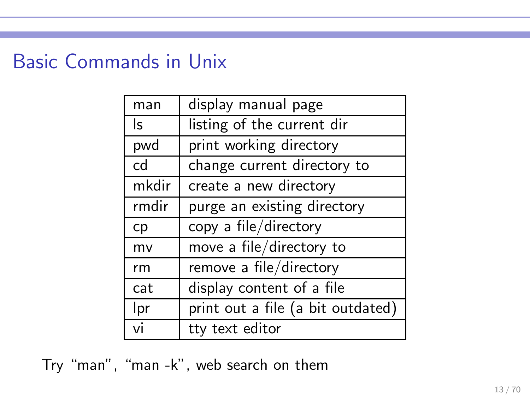# Basic Commands in Unix

| man   | display manual page               |
|-------|-----------------------------------|
| ls.   | listing of the current dir        |
| pwd   | print working directory           |
| cd    | change current directory to       |
| mkdir | create a new directory            |
| rmdir | purge an existing directory       |
| cp    | copy a file/directory             |
| mv    | move a file/directory to          |
| rm    | remove a file/directory           |
| cat   | display content of a file         |
| Ipr   | print out a file (a bit outdated) |
| vi    | tty text editor                   |

Try "man", "man -k", web search on them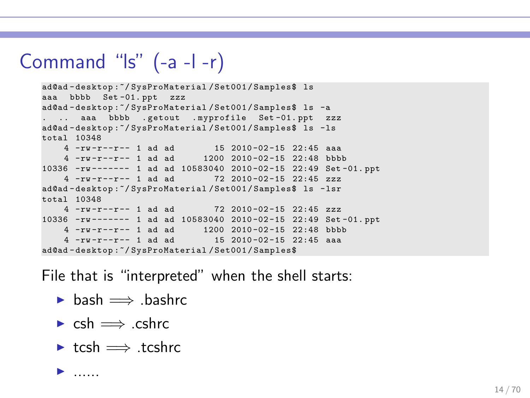# Command "ls" (-a -l -r)

```
ad@ad - desktop :~/ SysProMaterial / Set001 / Samples$ ls
aaa bbbb Set -01. ppt zzz
ad@ad - desktop :~/ SysProMaterial / Set001 / Samples$ ls -a
   .. aaa bbbb .getout .myprofile Set-01.ppt zzz
ad@ad-desktop:"/SysProMaterial/Set001/Samples$ ls -ls
total 10348
   4 -rw -r -- r -- 1 ad ad 15 2010 -02 -15 22:45 aaa
   4 -rw -r -- r -- 1 ad ad 1200 2010 -02 -15 22:48 bbbb
10336 -rw ------- 1 ad ad 10583040 2010 -02 -15 22:49 Set -01. ppt
    4 -rw -r -- r -- 1 ad ad 72 2010 -02 -15 22:45 zzz
ad@ad - desktop :~/ SysProMaterial / Set001 / Samples$ ls - lsr
total 10348
    4 -rw -r -- r -- 1 ad ad 72 2010 -02 -15 22:45 zzz
10336 -rw ------- 1 ad ad 10583040 2010 -02 -15 22:49 Set -01. ppt
    4 -rw -r -r - 1 ad ad 1200 2010 - 02 -15 22:48 bbbb<br>
4 -rw -r -r - 1 ad ad 15 2010 - 02 -15 22:45 as
    4 -<i>rw</i>-<i>r</i>-<i>r</i>-<i>r</i>-1 ad adad@ad - desktop :~/ SysProMaterial / Set001 / Samples$
```
File that is "interpreted" when the shell starts:

- $\triangleright$  bash  $\implies$  bashrc
- $\triangleright$  csh  $\Longrightarrow$  .cshrc.
- ► tcsh = tcshrc

 $\blacktriangleright$  ......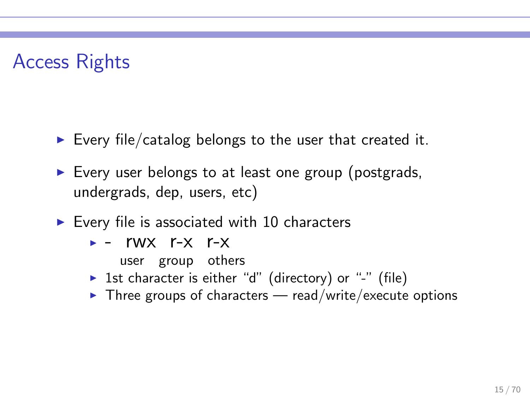# Access Rights

- Every file/catalog belongs to the user that created it.
- ► Every user belongs to at least one group (postgrads, undergrads, dep, users, etc)
- $\blacktriangleright$  Every file is associated with 10 characters
	- $\triangleright$  rwx r-x r-x
		- user group others
	- ▶ 1st character is either "d" (directory) or "-" (file)
	- $\triangleright$  Three groups of characters read/write/execute options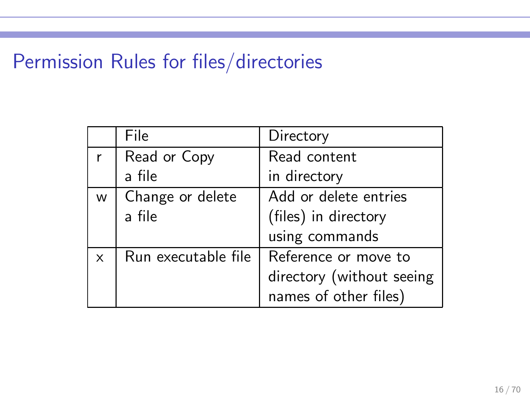### Permission Rules for files/directories

|   | File                | Directory                 |
|---|---------------------|---------------------------|
|   | Read or Copy        | Read content              |
|   | a file              | in directory              |
| W | Change or delete    | Add or delete entries     |
|   | a file              | (files) in directory      |
|   |                     | using commands            |
| X | Run executable file | Reference or move to      |
|   |                     | directory (without seeing |
|   |                     | names of other files)     |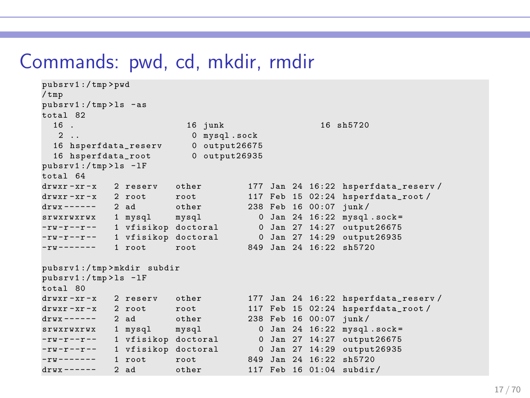### Commands: pwd, cd, mkdir, rmdir

```
pubsrv1 :/ tmp > pwd
/ tmp
pubsrv1 :/ tmp > ls - as
\begin{matrix} \text{total} & 82 \\ 16 & \end{matrix}16 . 16 junk 16 sh5720
   2.. 0 mysql.sock<br>6 hsperfdata reserv 0 output26675
  16 hsperfdata_reserv 0 output26675<br>16 hsperfdata_root 0 output26935
  16 hsperfdata_root
pubsrv1 :/ tmp > ls - lF
total 64
drwxr-xr-x 2 reserv other 177 Jan 24 16:22 hsperfdata_reserv/<br>drwxr-xr-x 2 root 117 Feb 15 02:24 hsperfdata root/
drwxr-xr-x 2 root root 117 Feb 15 02:24 hsperfdata_root/<br>drwx------ 2 ad dether 238 Feb 16 00:07 junk/
drwx ------ 2 ad other 238 Feb 16 00:07 junk /
srwxrwxrwx 1 mysql mysql 0 Jan 24 16:22 mysql .sock=
-rw-r--r-- 1 vfisikop doctoral 0 Jan 27 14:27 output26675<br>-rw-r--r-- 1 vfisikop doctoral 0 Jan 27 14:29 output26935
-rw-r--r-- 1 vfisikop doctoral 0 Jan 27 14:29 output26935
-rw ------- 1 root root 849 Jan 24 16:22 sh5720
pubsrv1 :/ tmp > mkdir subdir
pubsrv1 :/ tmp > ls - lF
total 80
drwxr-xr-x 2 reserv other 177 Jan 24 16:22 hsperfdata_reserv/<br>drwxr-xr-x 2 root 100t 117 Feb 15 02:24 hsperfdata root/
                2 root \begin{array}{ccc} \text{root} & 117 \text{ Feb} & 15 & 02:24 \text{ hsperfdata\_root} / \\ 2 \text{ ad} & \text{other} & 238 \text{ Feb} & 16 & 00:07 \text{ iunk} / \end{array}\text{drwx}\text{---} 2 ad other 238 Feb 16 00:07 junk/
srwxrwxrwx 1 mysql mysql 0 Jan 24 16:22 mysql . sock =
-rw-r--r-- 1 vfisikop doctoral 0 Jan 27 14:27 output26675<br>-rw-r--r-- 1 vfisikop doctoral 0 Jan 27 14:29 output26935
-rw -r --r -- 1 vfisikop doctoral 0 Jan 27 14:29 output26935
-rw ------- 1 root root 849 Jan 24 16:22 sh5720
drwx ------ 2 ad other 117 Feb 16 01:04 subdir /
```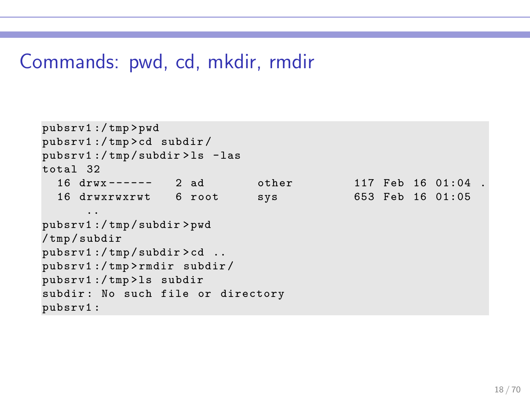### Commands: pwd, cd, mkdir, rmdir

```
pubsrv1 :/ tmp > pwd
pubsrv1 :/ tmp > cd subdir /
pubsrv1 :/ tmp / subdir > ls - las
total 32
  16 drwx ------ 2 ad other 117 Feb 16 01:04 .
  16 drwxrwxrwt 6 root sys 653 Feb 16 01:05
      ..
pubsrv1 :/ tmp / subdir > pwd
/ tmp / subdir
pubsrv1 :/ tmp / subdir > cd ..
pubsrv1 :/ tmp > rmdir subdir /
pubsrv1 :/ tmp > ls subdir
subdir: No such file or directory
pubsrv1 :
```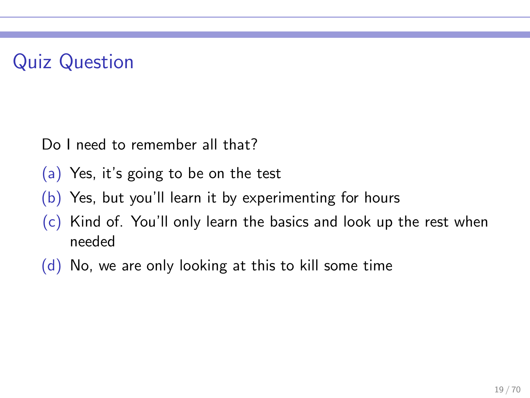# Quiz Question

Do I need to remember all that?

- (a) Yes, it's going to be on the test
- (b) Yes, but you'll learn it by experimenting for hours
- (c) Kind of. You'll only learn the basics and look up the rest when needed
- (d) No, we are only looking at this to kill some time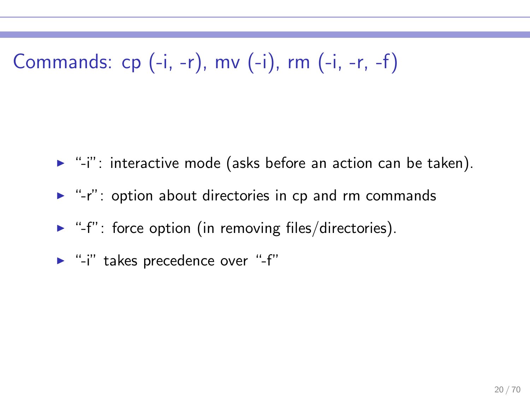Commands: cp (-i, -r), mv (-i), rm (-i, -r, -f)

- $\blacktriangleright$  "-i": interactive mode (asks before an action can be taken).
- ► "-r": option about directories in cp and rm commands
- $\blacktriangleright$  "-f": force option (in removing files/directories).
- ► "-i" takes precedence over "-f"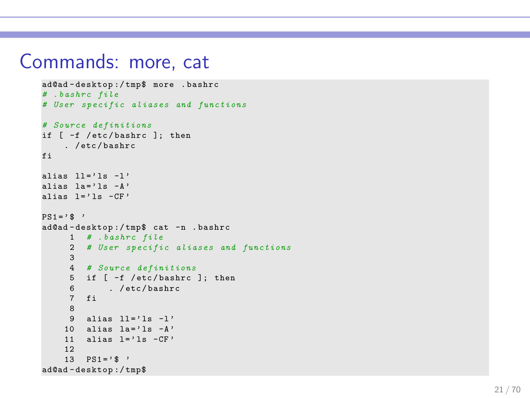#### Commands: more, cat

```
ad@ad - desktop :/ tmp$ more . bashrc
# . bashrc file
# User specific aliases and functions
# Source definitions
if [ -f / etc / bashrc ]; then
    . / etc / bashrc
fi
alias 11 = ' 1s -1'alias \lambda = \lambda \lambda = \lambdaalias l = ' 1s - CF'PS1 = ' $ '
ad@ad - desktop :/ tmp$ cat -n . bashrc
     1 # . bashrc file
     2 # User specific aliases and functions
     3
     4 # Source definitions
     5 if [ -f / etc / bashrc ]; then
     6 . / etc / bashrc
     7 fi
     8
     9 alias 11 = '1s -1'10 alias 1a = ' 1s - A'11 alias l = ' 1s - CF'12
    13 PS1 = ' $ '
ad@ad - desktop :/ tmp$
```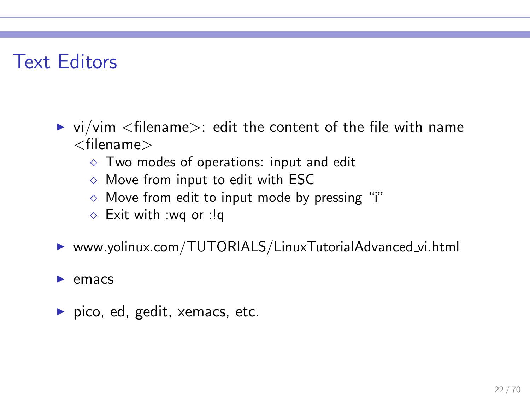### Text Editors

- $\triangleright$  vi/vim  $\lt$  filename $\gt$ : edit the content of the file with name  $<$ filename $>$ 
	- $\diamond$  Two modes of operations: input and edit
	- $\diamond$  Move from input to edit with ESC
	- $\diamond$  Move from edit to input mode by pressing "i"
	- ⋄ Exit with :wq or :!q

▶ www.yolinux.com/TUTORIALS/LinuxTutorialAdvanced\_vi.html

#### emacs

 $\blacktriangleright$  pico, ed, gedit, xemacs, etc.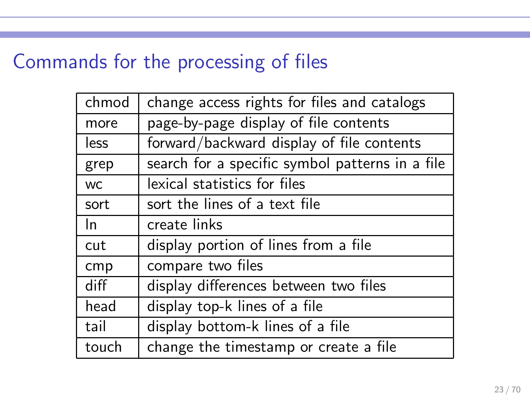# Commands for the processing of files

| chmod     | change access rights for files and catalogs     |
|-----------|-------------------------------------------------|
| more      | page-by-page display of file contents           |
| less      | forward/backward display of file contents       |
| grep      | search for a specific symbol patterns in a file |
| <b>WC</b> | lexical statistics for files                    |
| sort      | sort the lines of a text file                   |
| In.       | create links                                    |
| cut       | display portion of lines from a file            |
| cmp       | compare two files                               |
| diff      | display differences between two files           |
| head      | display top-k lines of a file                   |
| tail      | display bottom-k lines of a file                |
| touch     | change the timestamp or create a file           |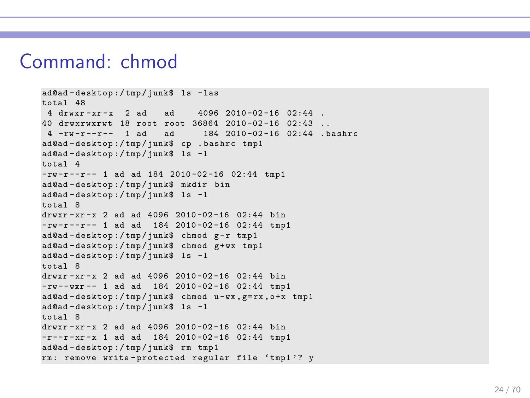#### Command: chmod

```
ad@ad - desktop :/ tmp / junk$ ls - las
t<sub>0</sub>t<sub>2</sub>] 484 drwxr - xr - x 2 ad ad 4096 2010 -02 -16 02:44 .
40 drwxrwxrwt 18 root root 36864 2010 -02 -16 02:43 ..
                               184 2010 - 02 - 16 02:44 . bashrc
ad@ad - desktop :/ tmp / junk$ cp . bashrc tmp1
ad@ad - desktop :/ tmp / junk$ ls -l
total 4
-rw-r--r-- 1 ad ad 184 2010-02-16 02:44 tmp1
ad@ad - desktop :/ tmp / junk$ mkdir bin
ad@ad - desktop :/ tmp / junk$ ls -l
total 8
drwxr - xr - x 2 ad ad 4096 2010-02-16 02:44 bin
-rw-r--r-- 1 ad ad 184 2010-02-16 02:44 tmp1
ad@ad-desktop:/tmp/junk$ chmod g-r tmp1
ad@ad - desktop :/ tmp / junk$ chmod g + wx tmp1
ad@ad - desktop :/ tmp / junk$ ls -l
total 8
drwxr-xr-x 2 ad ad 4096 2010-02-16 02:44 bin
-rw -- wxr -- 1 ad ad 184 2010 -02 -16 02:44 tmp1
ad@ad-desktop:/tmp/junk$ chmod u-wx, g=rx, o+x tmp1
ad@ad - desktop :/ tmp / junk$ ls -l
total 8
drwyr -yr -y 2 ad ad 4096 2010-02-16 02:44 bin
-r--r-xr-x 1 ad ad 184 2010-02-16 02:44 tmp1
ad@ad - desktop :/ tmp / junk$ rm tmp1
rm: remove write-protected regular file 'tmp1'? y
```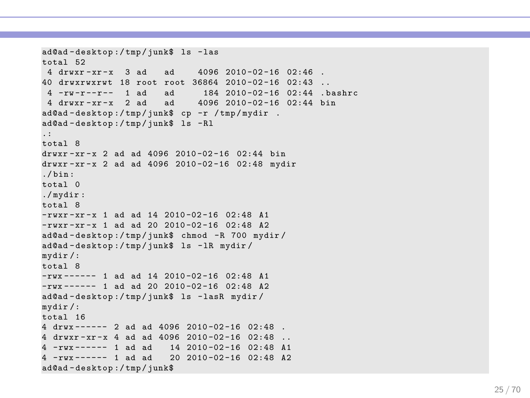```
ad@ad - desktop :/ tmp / junk$ ls - las
total 52
 4 \, drwxr - xr - x 3 ad ad 4096 \, 2010 - 02 - 16 \, 02:4640 drwxrwxrwt 18 root root 36864 2010-02-16 02:43.<br>4 -ru-r--r-- 1 ad ad 184 2010-02-16 02:44 b
                              184 2010-02-16 02:44 .bashrc<br>4096 2010-02-16 02:44 bin
 4 drwxr-x - x 2 ad ad
ad@ad - desktop :/ tmp / junk$ cp -r / tmp / mydir .
ad@ad - desktop :/ tmp / junk$ ls - Rl
.:
total 8
drwxr-xr-x 2 ad ad 4096 2010-02-16 02:44 bin
drwxr -xr - x 2 ad ad 4096 2010 -02 -16 02:48 mydir
./ bin :
total 0
./ mydir :
total 8
-rwxr-xr-x 1 ad ad 14 2010-02-16 02:48 A1
-rwxr -xr -x 1 ad ad 20 2010 -02 -16 02:48 A2
ad@ad - desktop :/ tmp / junk$ chmod -R 700 mydir /
ad@ad - desktop :/ tmp / junk$ ls - lR mydir /
mydir /:
total 8
-rwx ------ 1 ad ad 14 2010 -02 -16 02:48 A1
-rwx ------ 1 ad ad 20 2010 -02 -16 02:48 A2
ad@ad - desktop :/ tmp / junk$ ls - lasR mydir /
mydir /:
total 16
4 drux ------ 2 ad ad 4096 2010-02-16 02:48
4 drwxr-xr-x 4 ad ad 4096 2010-02-16 02:48 ..
4 - rwx \n--- 1 ad ad 14 \t2010 - 02 - 16 \t02:48 \t014 - rwx ------ 1 ad ad 20 2010 -02 -16 02:48 A2
ad@ad - desktop :/ tmp / junk$
```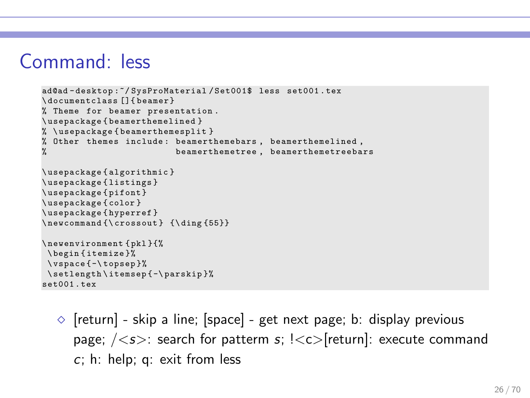### Command: less

```
ad@ad - desktop :~/ SysProMaterial / Set001$ less set001 . tex
\ documentclass []{ beamer }
% Theme for beamer presentation .
\ usepackage { beamerthemelin ed }
% \ usepackage { beamerthemesplit }
% Other themes include : beamerthemebars , beamerthemelined ,
                            beamerthemetree, beamerthemetreebars
\ usepackage { algorithmic }
\ usepackage { listings }
\ usepackage { pifont }
\ usepackage { color }
\ usepackage { hyperref }
\newcommand {\crossout } {\ding {55}}
\ newenvironment { pkl }{%
 \ begin { itemize }%
 \ vspace { -\ topsep }%
 \ setlength \ itemsep { -\ parskip }%
set001 . tex
```
 $\Diamond$  [return] - skip a line; [space] - get next page; b: display previous page;  $\langle \langle s \rangle$ : search for patterm s;  $\langle \langle s \rangle$  return]: execute command c; h: help; q: exit from less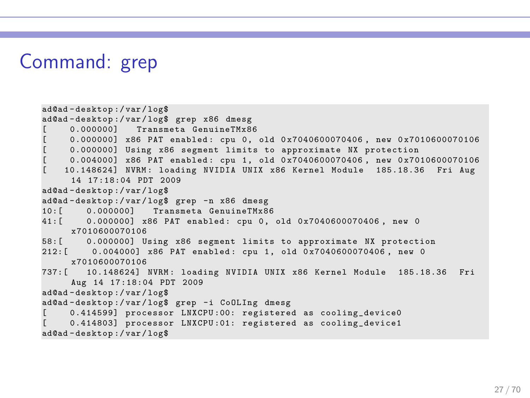### Command: grep

```
ad@ad - desktop :/ var / log$
ad@ad - desktop :/ var / log$ grep x86 dmesg
     0.000000] Transmeta GenuineTMx86
     [ 0.000000] x86 PAT enabled : cpu 0, old 0 x7040600070406 , new 0 x7010600070106
     [ 0.000000] Using x86 segment limits to approximate NX protection
     0.004000] x86 PAT enabled: cpu 1, old 0x7040600070406, new 0x7010600070106
   [ 10.148624] NVRM : loading NVIDIA UNIX x86 Kernel Module 185.18.36 Fri Aug
     14 17:18:04 PDT 2009
ad@ad - desktop :/ var / log$
ad@ad - desktop :/ var / log$ grep -n x86 dmesg
10: [ 0.000000] Transmeta GenuineTMx86<br>41: [ 0.000000] x86 PAT enabled: spu 0
        0.0000000 x86 PAT enabled: cpu 0, old 0x7040600070406, new 0
     x7010600070106
58:[ 0.000000] Using x86 segment limits to approximate NX protection
212: [ 0.004000] x86 PAT enabled: cpu 1, old 0x7040600070406, new 0
     x7010600070106
737:[ 10.148624] NVRM : loading NVIDIA UNIX x86 Kernel Module 185.18.36 Fri
     Aug 14 17:18:04 PDT 2009
ad@ad - desktop :/ var / log$
ad@ad - desktop :/ var / log$ grep -i CoOLIng dmesg
     0.414599] processor LNXCPU:00: registered as cooling device0
     0.414803] processor LNXCPU:01: registered as cooling_device1
ad@ad - desktop :/ var / log$
```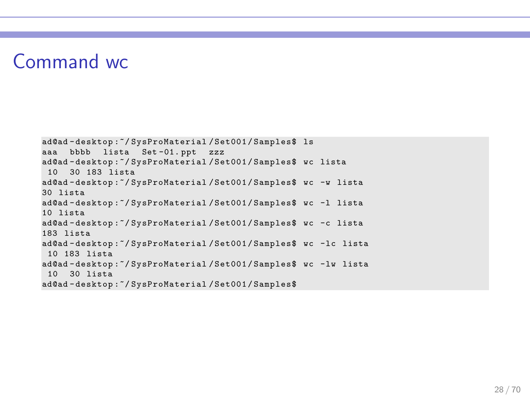#### Command wc

```
ad@ad - desktop :~/ SysProMaterial / Set001 / Samples$ ls
aaa bbbb lista Set -01. ppt zzz
ad@ad - desktop :~/ SysProMaterial / Set001 / Samples$ wc lista
 10 30 183 lista
ad@ad - desktop :~/ SysProMaterial / Set001 / Samples$ wc -w lista
30 lista
ad@ad - desktop :~/ SysProMaterial / Set001 / Samples$ wc -l lista
10 lista
ad@ad - desktop :~/ SysProMaterial / Set001 / Samples$ wc -c lista
183 lista
ad@ad - desktop :~/ SysProMaterial / Set001 / Samples$ wc -lc lista
 10 183 lista
ad@ad - desktop :~/ SysProMaterial / Set001 / Samples$ wc -lw lista
 10 30 lista
ad@ad - desktop :~/ SysProMaterial / Set001 / Samples$
```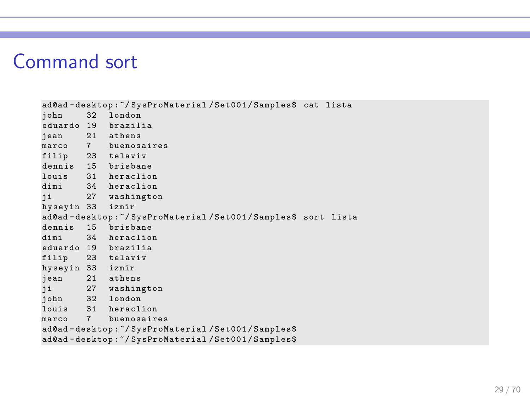#### Command sort

```
ad@ad-desktop:"/SysProMaterial/Set001/Samples$ cat lista<br>iohn 32 london
         32 london
eduardo 19 brazilia
        21 athens
marco 7 buenosaires
filip 23 telaviv
dennis 15 brisbane<br>louis 31 heraclio
         31 heraclion
dimi 34 heraclion<br>ii 27 washingto
         27 washington
hyseyin 33 izmir
ad@ad - desktop :~/ SysProMaterial / Set001 / Samples$ sort lista
dennis 15 brisbane<br>dimi 34 heraclio
         34 heraclion
eduardo 19 brazilia
filip 23 telaviv
hyseyin 33 izmir
         21 athens
ji 27 washington
john 32 london<br>louis 31 heracl
         31 heraclion
marco 7 buenosaires
ad@ad - desktop :~/ SysProMaterial / Set001 / Samples$
ad@ad - desktop :~/ SysProMaterial / Set001 / Samples$
```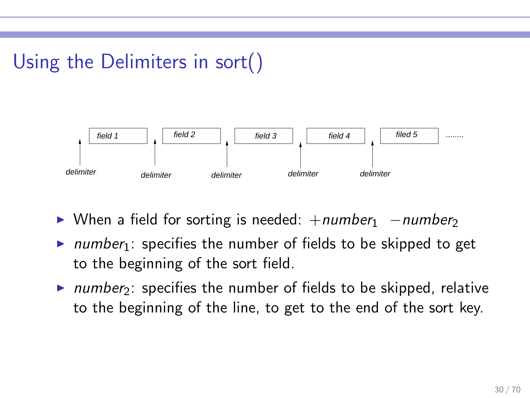# Using the Delimiters in sort()



- ► When a field for sorting is needed:  $+number_1$  –number<sub>2</sub>
- $\triangleright$  number<sub>1</sub>: specifies the number of fields to be skipped to get to the beginning of the sort field.
- $\triangleright$  number<sub>2</sub>: specifies the number of fields to be skipped, relative to the beginning of the line, to get to the end of the sort key.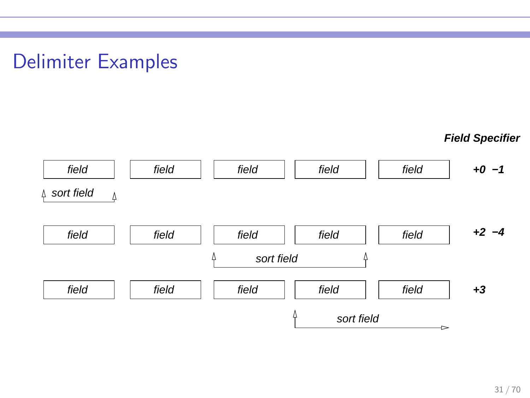### Delimiter Examples

**Field Specifier**

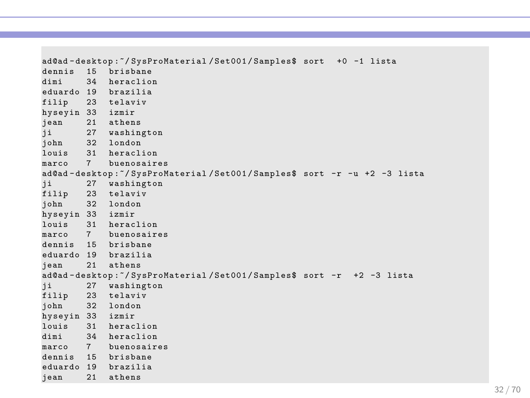```
ad@ad - desktop :~/ SysProMaterial / Set001 / Samples$ sort +0 -1 lista
dennis 15 brisbane<br>dimi 34 heraclio
        34 heraclion
eduardo 19 brazilia
filip 23 telaviv
hyseyin 33 izmir
jean 21 athens
        27 washington
john 32 london
louis 31 heraclion<br>marco 7 huenosaire
        7 buenosaires
ad@ad-desktop:<sup>~</sup>/SysProMaterial/Set001/Samples$ sort -r -u +2 -3 lista<br>ii 27 washington
   ji 27 washington
filip 23 telaviv
john 32 london
hyseyin 33 izmir
louis 31 heraclion
marco 7 buenosaires
dennis 15 brisbane
eduardo 19 brazilia<br>iean 21 athens
        21 athens
ad@ad-desktop:"/SysProMaterial/Set001/Samples$ sort -r +2 -3 lista<br>ji 27 washington
        27 washington
filip 23 telaviv
john 32 london
hyseyin 33 izmir
        31 heraclion
dimi 34 heraclion
marco 7 buenosaires
dennis 15 brisbane
eduardo 19 brazilia
jean 21 athens
```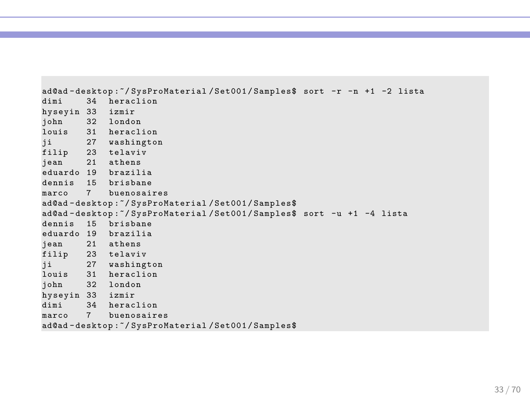```
ad@ad-desktop:"/SysProMaterial/Set001/Samples$ sort -r -n +1 -2 lista<br>dimi 34 heraclion
       34 heraclion
hyseyin 33 izmir
john 32 london
louis 31 heraclion
ji 27 washington
filip 23 telaviv
jean 21 athens
eduardo 19 brazilia
dennis 15 brisbane
marco 7 buenosaires
ad@ad - desktop :~/ SysProMaterial / Set001 / Samples$
ad@ad - desktop :~/ SysProMaterial / Set001 / Samples$ sort -u +1 -4 lista
dennis 15 brisbane
eduardo 19 brazilia
      21 athens
filip 23 telaviv
ji 27 washington
louis 31 heraclion
john 32 london
hyseyin 33 izmir
dimi 34 heraclion
marco 7 buenosaires
ad@ad - desktop :~/ SysProMaterial / Set001 / Samples$
```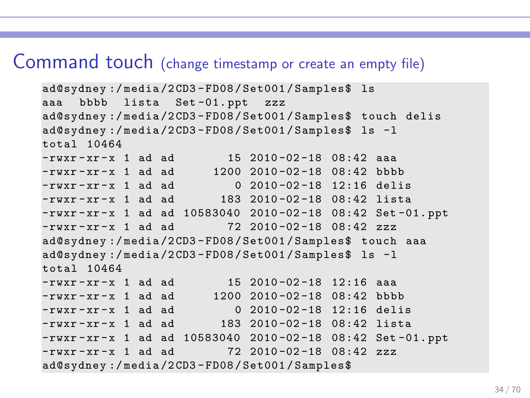#### Command touch (change timestamp or create an empty file)

```
ad@sydney :/ media /2 CD3 - FD08 / Set001 / Samples$ ls
aaa bbbb lista Set -01. ppt zzz
ad@sydney :/ media /2 CD3 - FD08 / Set001 / Samples$ touch delis
ad@sydney :/ media /2 CD3 - FD08 / Set001 / Samples$ ls -l
total 10464
-<b>rwx</b> - <b>xr</b> - <b>x</b> 1 ad ad 15 2010 - 02 - 18 08:42 aaa-rwxr - xr - x 1 ad ad 1200 2010 -02 -18 08:42 bbbb
-{\text{rwxr - xr -x}} 1 ad ad 0 2010-02-18 12:16 delis
-rwxr-xr-x 1 ad ad 183 2010-02-18 08:42 lista
-rwxr-xr-x 1 ad ad 10583040 2010-02-18 08:42 Set-01.ppt
-{\text{rw}}{\text{r-xr-x}} 1 ad ad 72 2010-02-18 08:42 zzz
ad@sydney :/ media /2 CD3 - FD08 / Set001 / Samples$ touch aaa
ad@sydney :/ media /2 CD3 - FD08 / Set001 / Samples$ ls -l
total 10464
-rwxr-xr-x 1 ad ad 15 2010-02-18 12:16 aaa
-rwxr - xr - x 1 ad ad 1200 2010-02-18 08:42 bbbb
-rwxr - xr - x 1 ad ad 0 2010 - 02-18 12:16 delis
-rwxr-xr-x 1 ad ad 183 2010-02-18 08:42 lista
-rwxr-xr-x 1 ad ad 10583040 2010-02-18 08:42 Set-01.ppt
-rwxr-xr-x 1 ad ad 72\,2010 -02 -18 08:42 zzz
ad@sydney :/ media /2 CD3 - FD08 / Set001 / Samples$
```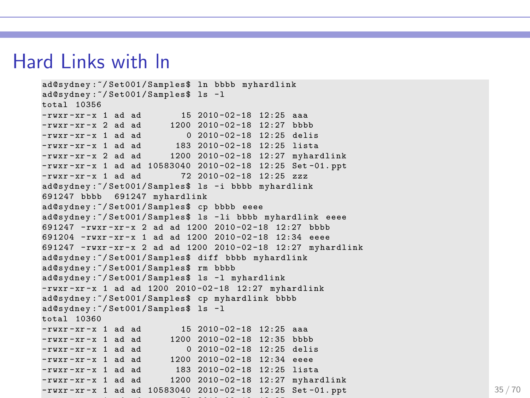#### Hard Links with ln

```
ad@sydney :~/ Set001 / Samples$ ln bbbb myhardlink
ad@sydney :~/ Set001 / Samples$ ls -l
total 10356
-rwxr -xr - x 1 ad ad 15 2010 -02 -18 12:25 aaa
- rwxr - xr - x 2 ad ad 1200 2010 -02 -18 12:27 bbbb - rwxr - xr - x 1 ad ad 0 2010 -02 -18 12:25 delis
-rwxr - xr -x 1 ad ad- rwxr -xr - x 1 ad ad 183 2010 -02 -18 12:25 lista
-rwxr - xr - x 2 ad ad 1200 2010-02-18 12:27 myhardlink
- rwxr - xr - x 1 ad ad 10583040 2010 -02 -18 12:25 Set -01. ppt<br>- rwxr - xr - x 1 ad ad 72 2010 -02 -18 12:25 zzz
                             72 2010-02-18 12:25 zzz
ad@sydney:"/Set001/Samples$ ls -i bbbb myhardlink
691247 bbbb 691247 myhardlink
ad@sydney :~/ Set001 / Samples$ cp bbbb eeee
ad@sydney :~/ Set001 / Samples$ ls - li bbbb myhardlink eeee
691247 - rwxr - xr - x 2 ad ad 1200 2010 -02 -18 12:27 bbbb
691204 - rwxr - xr - x 1 ad ad 1200 2010 -02 -18 12:34 eeee
691247 - rwxr - xr - x 2 ad ad 1200 2010 -02 -18 12:27 myhardlink
ad@sydney :~/ Set001 / Samples$ diff bbbb myhardlink
ad@sydney :~/ Set001 / Samples$ rm bbbb
ad@sydney :~/ Set001 / Samples$ ls -l myhardlink
-rwxr-xr-x 1 ad ad 1200 2010-02-18 12:27 myhardlink
ad@sydney :~/ Set001 / Samples$ cp myhardlink bbbb
ad@sydney :~/ Set001 / Samples$ ls -l
total 10360
-rwxr-xr-x 1 ad ad 15 2010-02-18 12:25 aaa
- rwxr - xr - x 1 ad ad 1200 2010 - 02 - 18 12:35 bbbb - rwxr - xr - x 1 ad ad 0 2010 - 02 - 18 12:25 deli
                              0.2010 - 02 - 18.12:25 delis
-rwxr-xr-x 1 ad ad 1200 2010-02-18 12:34 eeee
- rwxr -xr - x 1 ad ad 183 2010 -02 -18 12:25 lista
-rwxr-xr-x 1 ad ad 1200 2010-02-18 12:27 myhardlink
-rwxr-xr-x 1 ad ad 10583040 2010-02-18 12:25 Set-01.ppt
```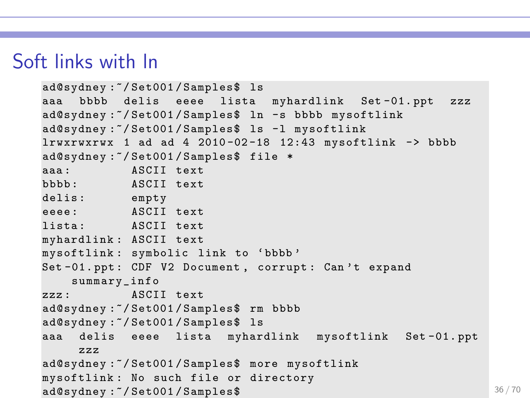### Soft links with ln

```
ad@sydney :~/ Set001 / Samples$ ls
aaa bbbb delis eeee lista myhardlink Set -01. ppt zzz
ad@sydney:"/Set001/Samples$ ln -s bbbb mysoftlink
ad@sydney :~/ Set001 / Samples$ ls -l mysoftlink
lrwxrwxrwx 1 ad ad 4 2010-02-18 12:43 mysoftlink -> bbbb
ad@sydney :~/ Set001 / Samples$ file *
aaa: ASCII text
bbbb : ASCII text
delis: empty
eeee: ASCII text
lista: ASCII text
myhardlink : ASCII text
mysoftlink : symbolic link to 'bbbb '
Set-01. ppt: CDF V2 Document, corrupt: Can't expand
   summary_info
zzz: ASCII text
ad@sydney :~/ Set001 / Samples$ rm bbbb
ad@sydney :~/ Set001 / Samples$ ls
aaa delis eeee lista myhardlink mysoftlink Set -01. ppt
    zzz
ad@sydney :~/ Set001 / Samples$ more mysoftlink
mysoftlink : No such file or directory
ad@sydney : \sim %36/70 36/70
```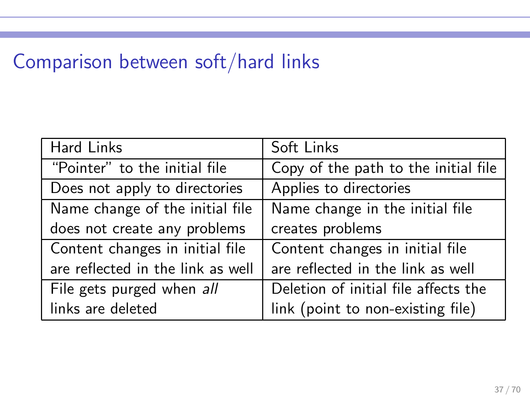# Comparison between soft/hard links

| Hard Links                        | Soft Links                           |
|-----------------------------------|--------------------------------------|
| "Pointer" to the initial file     | Copy of the path to the initial file |
| Does not apply to directories     | Applies to directories               |
| Name change of the initial file   | Name change in the initial file      |
| does not create any problems      | creates problems                     |
| Content changes in initial file   | Content changes in initial file      |
| are reflected in the link as well | are reflected in the link as well    |
| File gets purged when all         | Deletion of initial file affects the |
| links are deleted                 | link (point to non-existing file)    |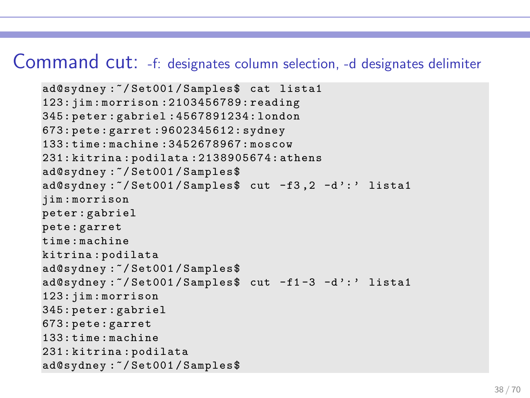#### Command cut: -f: designates column selection, -d designates delimiter

```
ad@sydney :~/ Set001 / Samples$ cat lista1
123: jim : morrison :2103456789: reading
345: peter : gabriel :4567891234: london
673: pete : garret :9602345612: sydney
133: time : machine :3452678967: moscow
231: kitrina : podilata :2138905674: athens
ad@sydney :~/ Set001 / Samples$
ad@sydney:"/Set001/Samples$ cut -f3,2 -d':' lista1
jim : morrison
peter : gabriel
pete : garret
time : machine
kitrina : podilata
ad@sydney :~/ Set001 / Samples$
ad@sydney:"/Set001/Samples$ cut -f1-3 -d':' lista1
123: jim : morrison
345: peter : gabriel
673: pete : garret
133: time : machine
231: kitrina : podilata
ad@sydney :~/ Set001 / Samples$
```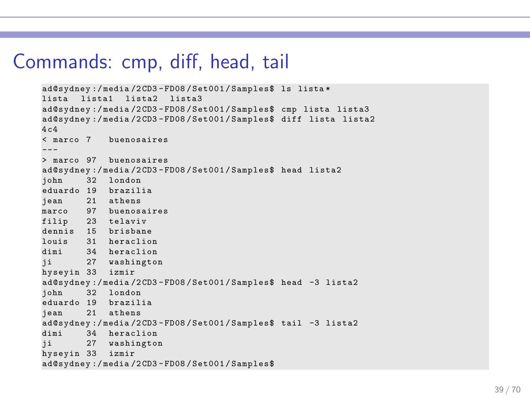#### Commands: cmp, diff, head, tail

```
ad@sydney :/ media /2 CD3 - FD08 / Set001 / Samples$ ls lista *
lista lista1 lista2 lista3
ad@sydney :/ media /2 CD3 - FD08 / Set001 / Samples$ cmp lista lista3
ad@sydney :/ media /2 CD3 - FD08 / Set001 / Samples$ diff lista lista2
4c.4< marco 7 buenosaires
> marco 97 buenosaires
ad@sydney:/media/2CD3-FD08/Set001/Samples$ head lista2<br>john 32 london
        32 london
eduardo 19 brazilia
jean 21 athens
marco 97 buenosaires
filip 23 telaviv
dennis 15 brisbane<br>louis 31 heraclio
        31 heraclion
dimi 34 heraclion
ii 27 washington
hyseyin 33 izmir
ad@sydney:/media/2CD3-FD08/Set001/Samples$ head -3 lista2<br>iohn 32 london
        32 london
eduardo 19 brazilia
jean 21 athens
ad@sydney :/ media /2 CD3 - FD08 / Set001 / Samples$ tail -3 lista2
dimi 34 heraclion
ji 27 washington
hyseyin 33 izmir
ad@sydney :/ media /2 CD3 - FD08 / Set001 / Samples$
```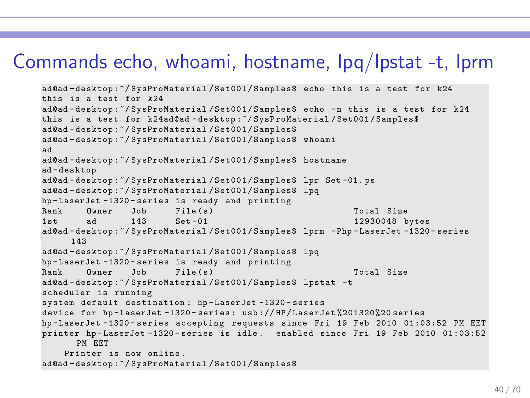### Commands echo, whoami, hostname, lpq/lpstat -t, lprm

```
ad@ad - desktop :~/ SysProMaterial / Set001 / Samples$ echo this is a test for k24
this is a test for k24
ad@ad - desktop :~/ SysProMaterial / Set001 / Samples$ echo -n this is a test for k24
this is a test for k24ad@ad - desktop :~/ SysProMaterial / Set001 / Samples$
ad@ad - desktop :~/ SysProMaterial / Set001 / Samples$
ad@ad - desktop :~/ SysProMaterial / Set001 / Samples$ whoami
ad
ad@ad - desktop :~/ SysProMaterial / Set001 / Samples$ hostname
ad - desktop
ad@ad - desktop :~/ SysProMaterial / Set001 / Samples$ lpr Set -01. ps
ad@ad - desktop :~/ SysProMaterial / Set001 / Samples$ lpq
hp-LaserJet-1320-series is ready and printing<br>Bank Owner Job File(s)
Rank Owner Job File(s) (1992) Total Size<br>1st 3d 143 Sot-01 (19930048 b
                                                               12930048 bytes
ad@ad - desktop :~/ SysProMaterial / Set001 / Samples$ lprm -Php - LaserJet -1320 - series
      143
ad@ad - desktop :~/ SysProMaterial / Set001 / Samples$ lpq
hp - LaserJet -1320 - series is ready and printing
Rank Owner Job File ( s ) Total Size
ad@ad - desktop :~/ SysProMaterial / Set001 / Samples$ lpstat -t
scheduler is running
system default destination : hp - LaserJet -1320 - series
device for hp - LaserJet -1320 - series : usb :// HP / LaserJet %201320%20 series
hp - LaserJet -1320 - series accepting requests since Fri 19 Feb 2010 01:03:52 PM EET
printer hp - LaserJet -1320 - series is idle . enabled since Fri 19 Feb 2010 01:03:52
       PM EET
    Printer is now online .
ad@ad - desktop :~/ SysProMaterial / Set001 / Samples$
```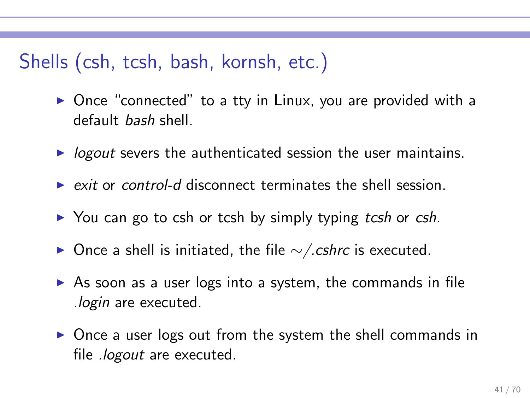### Shells (csh, tcsh, bash, kornsh, etc.)

- ▶ Once "connected" to a tty in Linux, you are provided with a default bash shell.
- $\triangleright$  logout severs the authenticated session the user maintains.
- $\triangleright$  exit or control-d disconnect terminates the shell session.
- ▶ You can go to csh or tcsh by simply typing tcsh or csh.
- ▶ Once a shell is initiated, the file  $\sim$ /.cshrc is executed.
- $\triangleright$  As soon as a user logs into a system, the commands in file .login are executed.
- ▶ Once a user logs out from the system the shell commands in file *.logout* are executed.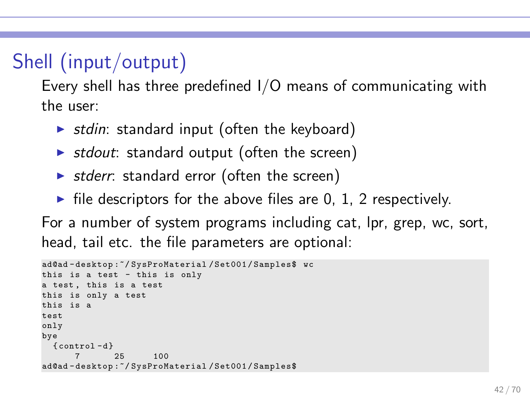# Shell (input/output)

Every shell has three predefined I/O means of communicating with the user:

- $\triangleright$  stdin: standard input (often the keyboard)
- ▶ stdout: standard output (often the screen)
- $\triangleright$  stderr: standard error (often the screen)
- $\blacktriangleright$  file descriptors for the above files are 0, 1, 2 respectively.

For a number of system programs including cat, lpr, grep, wc, sort, head, tail etc. the file parameters are optional:

```
ad@ad - desktop :~/ SysProMaterial / Set001 / Samples$ wc
this is a test - this is only
a test, this is a test
this is only a test
this is a
test
only
bye
 {control - d}7 25 100
ad@ad - desktop :~/ SysProMaterial / Set001 / Samples$
```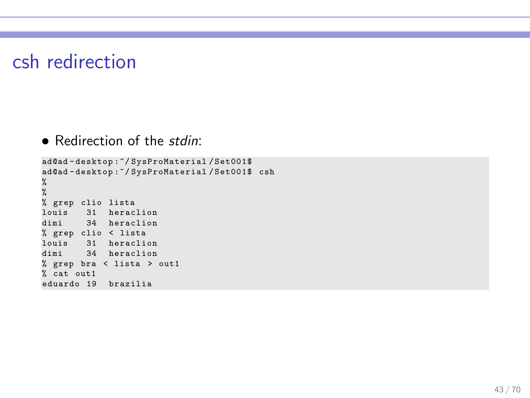#### csh redirection

• Redirection of the *stdin*:

```
ad@ad - desktop :~/ SysProMaterial / Set001$
ad@ad - desktop :~/ SysProMaterial / Set001$ csh
%
%
% grep clio lista
louis 31 heraclion
dimi 34 heraclion
% grep clio < lista
louis 31 heraclion
dimi 34 heraclion
% grep bra < lista > out1
% cat out1
eduardo 19 brazilia
```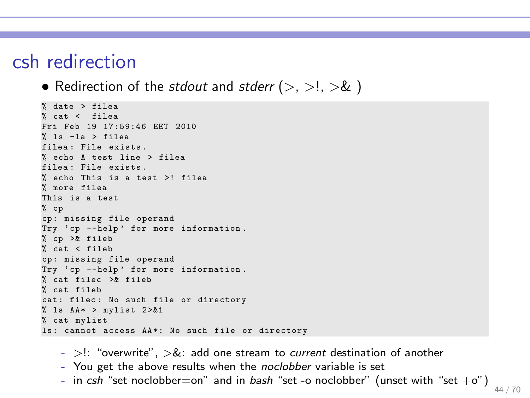#### csh redirection

• Redirection of the stdout and stderr  $(>, >, >l, >&)$ 

```
% date > filea
% cat < filea
Fri Feb 19 17:59:46 EET 2010
% ls -la > filea
filea : File exists .
% echo A test line > filea
filea: File exists.
% echo This is a test >! filea
% more filea
This is a test
% cp
cp : missing file operand
Try 'cp --help' for more information.
% cp >& fileb
% cat < fileb
cp : missing file operand
Try 'cp --help' for more information.
% cat filec >& fileb
% cat fileb
cat: filec: No such file or directory
% ls AA* > mylist 2 > 2 + 1% cat mylist
1s: cannot access AA*: No such file or directory
```
- $-$  >!: "overwrite",  $> 8$ : add one stream to *current* destination of another
- You get the above results when the noclobber variable is set
- in csh "set noclobber=on" and in bash "set -o noclobber" (unset with "set  $+o$ ")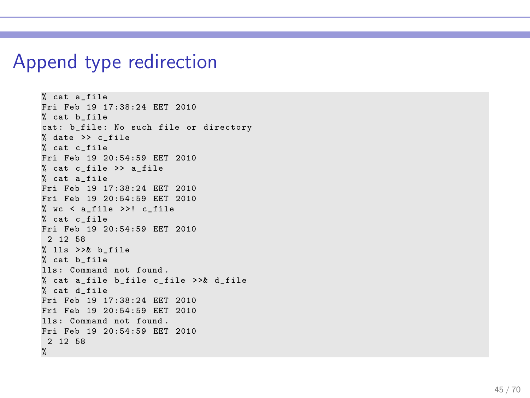#### Append type redirection

```
% cat a file
Fri Feb 19 17:38:24 EET 2010
% cat b_file
cat: b_file: No such file or directory
% date >> c_file
% cat c_file
Fri Feb 19 20:54:59 EET 2010
% cat c_file >> a_file
% cat a_file
Fri Feb 19 17:38:24 EET 2010
Fri Feb 19 20:54:59 EET 2010
% wc < a file >>! c file
% cat c_file
Fri Feb 19 20:54:59 EET 2010
 2 12 58
% lls \geq b file
% cat b_file
lls : Command not found .
% cat a file b file c file >>& d file
% cat d_file
Fri Feb 19 17:38:24 EET 2010
Fri Feb 19 20:54:59 EET 2010
lls: Command not found.
Fri Feb 19 20:54:59 EET 2010
2 12 58
%
```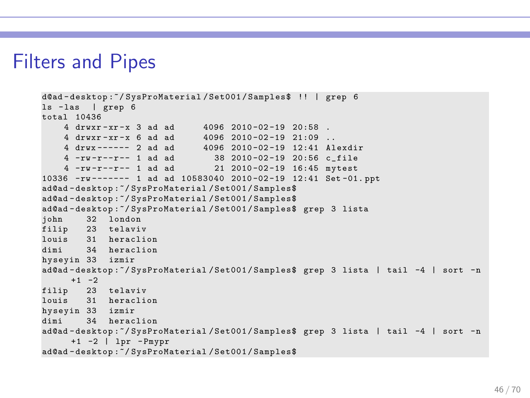#### Filters and Pipes

```
d@ad - desktop :~/ SysProMaterial / Set001 / Samples$ !! | grep 6
ls - las | grep 6
total 10436
     4 drwxr-xr-x 3 ad ad      4096 2010-02-19 20:58 .<br>4 drwxr-xr-x 6 ad ad     4096 2010-02-19 21:09 ..<br>4 drwx------ 2 ad ad     4096 2010-02-19 12:41 Alexdir
    4 -rw -r -r - 1 ad ad 38\ 2010 - 02 -19\ 20:56 c_file<br>4 -rw -r -r - 1 ad ad 21\ 2010 - 02 -19\ 16:45 mytest
    4 -rw-r--r-- 1 ad ad
10336 -rw ------- 1 ad ad 10583040 2010 -02 -19 12:41 Set -01. ppt
ad@ad - desktop :~/ SysProMaterial / Set001 / Samples$
ad@ad - desktop :~/ SysProMaterial / Set001 / Samples$
ad@ad-desktop:~/SysProMaterial/Set001/Samples$ grep 3 lista<br>iohn 32 london
         32 london
filip 23 telaviv
louis 31 heraclion<br>dimi 34 heraclion
          34 heraclion
hyseyin 33 izmir
ad@ad - desktop :~/ SysProMaterial / Set001 / Samples$ grep 3 lista | tail -4 | sort -n
      +1 -2
filip 23 telaviv
louis 31 heraclion
hyseyin 33 izmir
          34 heraclion
ad@ad - desktop :~/ SysProMaterial / Set001 / Samples$ grep 3 lista | tail -4 | sort -n
      +1 -2 | lpr - Pmypr
ad@ad - desktop :~/ SysProMaterial / Set001 / Samples$
```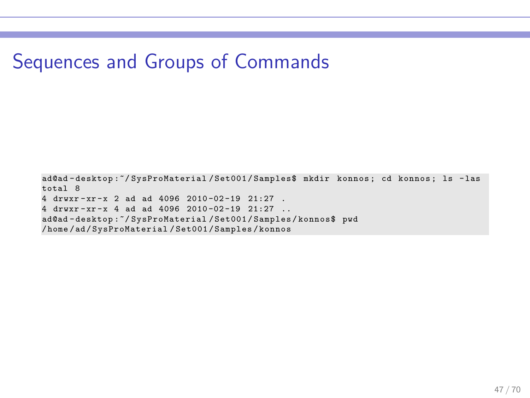### Sequences and Groups of Commands

ad@ad - desktop :~/ SysProMaterial / Set001 / Samples\$ mkdir konnos ; cd konnos ; ls - las total 8 4 drwxr - xr - x 2 ad ad 4096 2010 -02 -19 21:27 . 4 drwxr - xr - x 4 ad ad 4096 2010 -02 -19 21:27 .. ad@ad - desktop :~/ SysProMaterial / Set001 / Samples / konnos\$ pwd / home / ad / SysProMaterial / Set001 / Samples / konnos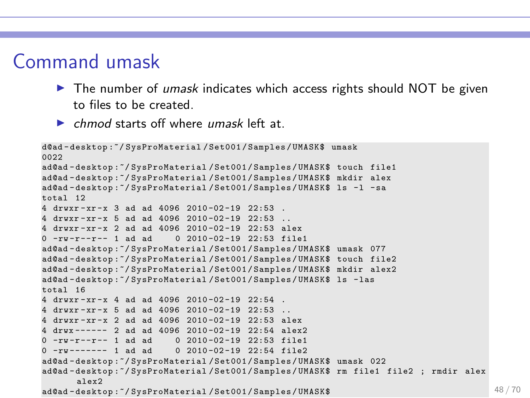### Command umask

- $\triangleright$  The number of *umask* indicates which access rights should NOT be given to files to be created.
- $\triangleright$  chmod starts off where umask left at.

```
d@ad - desktop :~/ SysProMaterial / Set001 / Samples / UMASK$ umask
0022
ad@ad - desktop :~/ SysProMaterial / Set001 / Samples / UMASK$ touch file1
ad@ad - desktop :~/ SysProMaterial / Set001 / Samples / UMASK$ mkdir alex
ad@ad - desktop :~/ SysProMaterial / Set001 / Samples / UMASK$ ls -l - sa
total 12
4 drwxr-xr-x 3 ad ad 4096 2010-02-19 22:53.
4 drwxr - xr - x 5 ad ad 4096 2010 -02 -19 22:53 ..
4 drwxr - xr - x 2 ad ad 4096 2010 -02 -19 22:53 alex
0 - ry - r = -r - 1 ad ad 0 2010-02-19 22:53 file1
ad@ad - desktop :~/ SysProMaterial / Set001 / Samples / UMASK$ umask 077
ad@ad - desktop :~/ SysProMaterial / Set001 / Samples / UMASK$ touch file2
ad@ad - desktop :~/ SysProMaterial / Set001 / Samples / UMASK$ mkdir alex2
ad@ad - desktop :~/ SysProMaterial / Set001 / Samples / UMASK$ ls - las
total 16
4 drwxr - xr - x 4 ad ad 4096 2010 -02 -19 22:54 .
4 druxr-xr-x 5 ad ad 4096 2010-02-19 22:53
4 drwxr - xr - x 2 ad ad 4096 2010 -02 -19 22:53 alex
4 drwx ------ 2 ad ad 4096 2010 -02 -19 22:54 alex2
0 -rw -r -r - 1 ad ad 0, 2010 - 02 -19, 22:53 file1
0 -rw - - - - - 1 ad ad 0.2010 - 02 - 19.22 : 54 file2
ad@ad - desktop :~/ SysProMaterial / Set001 / Samples / UMASK$ umask 022
ad@ad - desktop :~/ SysProMaterial / Set001 / Samples / UMASK$ rm file1 file2 ; rmdir alex
      alex2
ad@ad-desktop:~/SvsProMaterial/Set001/Samples/UMASK$ 48/70
```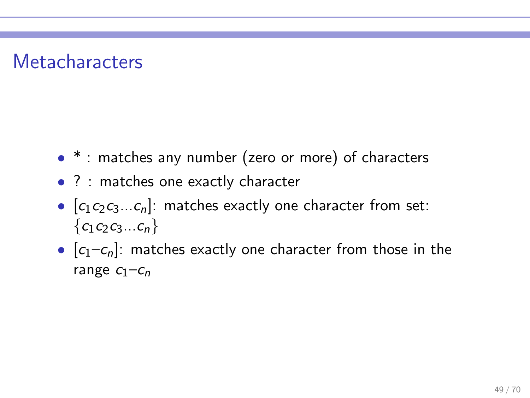### **Metacharacters**

- $*$ : matches any number (zero or more) of characters
- ? : matches one exactly character
- $[c_1c_2c_3...c_n]$ : matches exactly one character from set:  ${c_1c_2c_3...c_n}$
- $[c_1-c_n]$ : matches exactly one character from those in the range  $C_1$ – $C_n$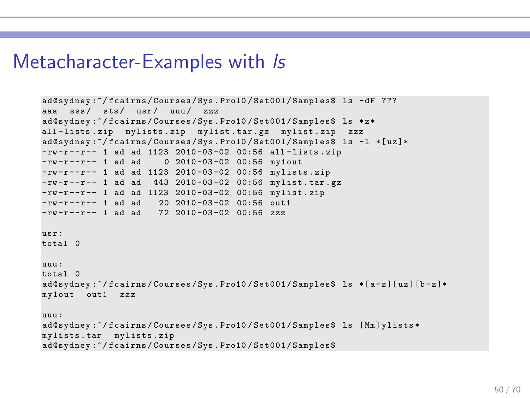#### Metacharacter-Examples with Is

```
ad@sydney :~/ fcairns / Courses / Sys . Pro10 / Set001 / Samples$ ls - dF ???
aaa sss/ sts/ usr/ uuu/ zzz
ad@sydney :~/ fcairns / Courses / Sys . Pro10 / Set001 / Samples$ ls * z *
all - lists . zip mylists . zip mylist . tar . gz mylist . zip zzz
ad@sydney:"/fcairns/Courses/Sys.Pro10/Set001/Samples$ ls -1 *[uz]*
-rw-r--r-- 1 ad ad 1123 2010-03-02 00:56 all-lists.zip<br>-rw-r--r-- 1 ad ad 0 2010-03-02 00:56 my1out
                        0.2010 - 03 - 02.00:56 my1out
-rw-r--r-- 1 ad ad 1123 2010-03-02 00:56 mylists.zip
-rw-r--r-- 1 ad ad 443 2010-03-02 00:56 mylist.tar.gz
-rw -r --r -- 1 ad ad 1123 2010 -03 -02 00:56 mylist . zip
-rw - r - -r - 1 ad ad 20 2010-03-02 00:56 out1
-ry - r - r - 1 ad ad 72 2010-03-02 00:56 zzz
usr :
total 0
uuu :
total 0
ad@sydney:~/fcairns/Courses/Sys.Pro10/Set001/Samples$ ls *[a-z][uz][b-z]*
my1out out1 zzz
uuu :
ad@sydney:"/fcairns/Courses/Sys.Pro10/Set001/Samples$ ls [Mm]vlists*
mylists . tar mylists . zip
ad@sydney :~/ fcairns / Courses / Sys . Pro10 / Set001 / Samples$
```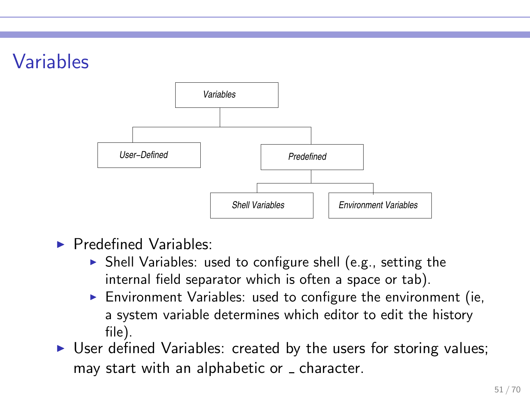# Variables



- $\blacktriangleright$  Predefined Variables:
	- ▶ Shell Variables: used to configure shell (e.g., setting the internal field separator which is often a space or tab).
	- $\triangleright$  Environment Variables: used to configure the environment (ie, a system variable determines which editor to edit the history file).
- $\triangleright$  User defined Variables: created by the users for storing values; may start with an alphabetic or \_ character.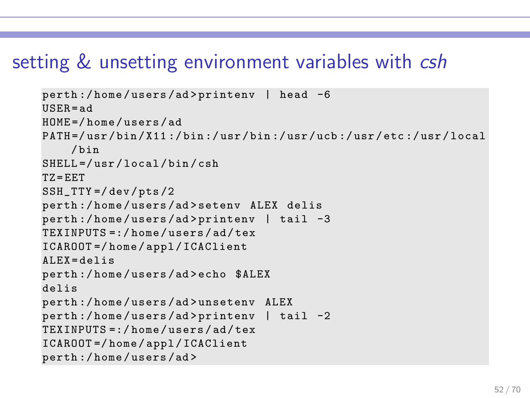### setting & unsetting environment variables with csh

```
perth :/ home / users /ad > printenv | head -6
USER = ad
HOME =/ home / users / ad
PATH =/ usr / bin / X11 :/ bin :/ usr / bin :/ usr / ucb :/ usr / etc :/ usr / local
     / bin
SHELL =/ usr / local / bin / csh
TZ = EETSSH_TTY =/ dev / pts /2
perth :/ home / users /ad > setenv ALEX delis
perth :/ home / users /ad > printenv | tail -3
TEXINPUTS =:/ home / users / ad / tex
ICAROOT =/ home / appl / ICAClient
AI.EX = deJisperth :/ home / users /ad > echo $ALEX
delis
perth :/ home / users /ad > unsetenv ALEX
perth :/ home / users /ad > printenv | tail -2
TEXINPUTS =:/ home / users / ad / tex
ICAROOT =/ home / appl / ICAClient
perth :/ home / users /ad >
```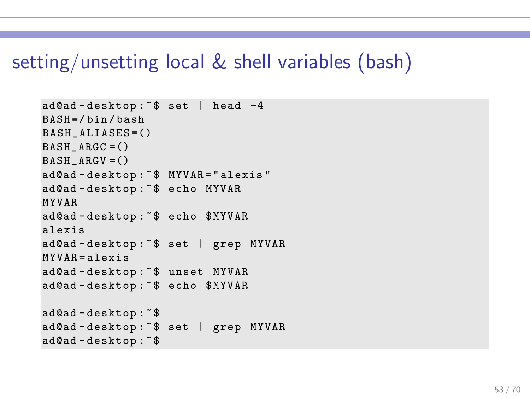#### setting/unsetting local & shell variables (bash)

```
ad@ad-desktop: ^$ set | head -4
BASH =/ bin / bash
BASH<sub>_ALIASES</sub> = ()
BASH ARGC = ()BASH ARGV = ()ad@ad - desktop :~ $ MYVAR = " alexis "
ad@ad - desktop :~ $ echo MYVAR
MYVAR
ad@ad - desktop :~ $ echo $MYVAR
alexis
ad@ad - desktop :~ $ set | grep MYVAR
MYVAR = aIe<sub>xis</sub>ad@ad - desktop :~ $ unset MYVAR
ad@ad - desktop :~ $ echo $MYVAR
ad@ad - desktop :~ $
ad@ad - desktop :~ $ set | grep MYVAR
ad@ad - desktop :~ $
```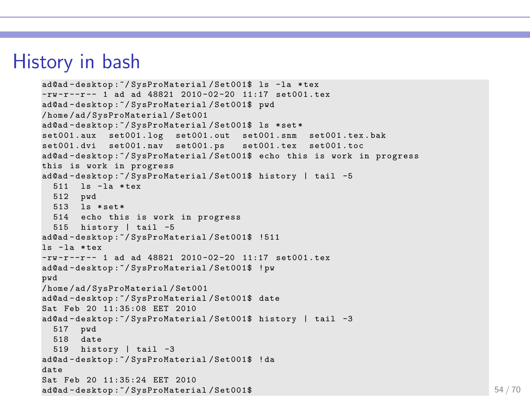### History in bash

```
ad@ad - desktop :~/ SysProMaterial / Set001$ ls -la * tex
-rw -r --r -- 1 ad ad 48821 2010 -02 -20 11:17 set001 . tex
ad@ad - desktop :~/ SysProMaterial / Set001$ pwd
/ home / ad / SysProMaterial / Set001
ad@ad - desktop :~/ SysProMaterial / Set001$ ls * set *
set001.aux set001.log set001.out set001.snm set001.tex.bak
set001.dvi set001.nav set001.ps set001.tex set001.toc
ad@ad-desktop:"/SysProMaterial/Set001$ echo this is work in progress
this is work in progress
ad@ad - desktop :~/ SysProMaterial / Set001$ history | tail -5
  511 ls - la * tex
 512 pwd
 513 ls * set *
 514 echo this is work in progress
 515 history | tail -5
ad@ad - desktop :~/ SysProMaterial / Set001$ !511
ls - la * tex
-rw -r --r -- 1 ad ad 48821 2010 -02 -20 11:17 set001 . tex
ad@ad - desktop :~/ SysProMaterial / Set001$ ! pw
pwd
/ home / ad / SysProMaterial / Set001
ad@ad - desktop :~/ SysProMaterial / Set001$ date
Sat Feb 20 11:35:08 EET 2010
ad@ad - desktop :~/ SysProMaterial / Set001$ history | tail -3
  517 pwd
  518 date
 519 history | tail -3
ad@ad - desktop :~/ SysProMaterial / Set001$ ! da
date
Sat Feb 20 11:35:24 FFT 2010
ad@ad-desktop: "/SysProMaterial/Set001$ 54/70
```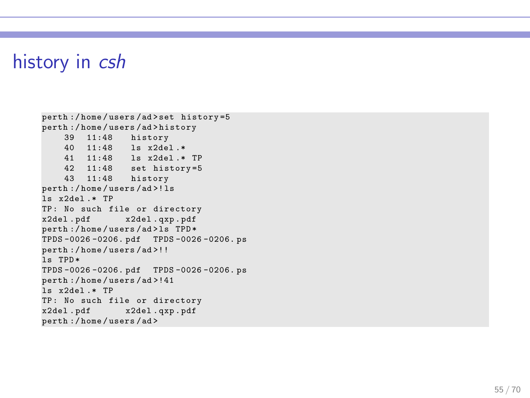### history in csh

```
perth :/ home / users /ad > set history =5
perth :/ home / users /ad > history
    39 11:48 history
    40 11:48 ls x2del .*
    41 11:48 ls x2del .* TP
    42 11:48 set history =5
    43 11:48 history
perth :/ home / users /ad >! ls
ls x2del .* TP
TP: No such file or directory<br>x2del.pdf x2del.gxp.pdf
                  x2del . pdf x2del . qxp . pdf
perth :/ home / users /ad > ls TPD *
TPDS -0026 -0206. pdf TPDS -0026 -0206. ps
perth :/ home / users /ad >!!
is TPD*TPDS -0026 -0206. pdf TPDS -0026 -0206. ps
perth :/ home / users /ad >!41
ls x2del .* TP
TP : No such file or directory
                  x2del . pdf x2del . qxp . pdf
perth :/ home / users /ad >
```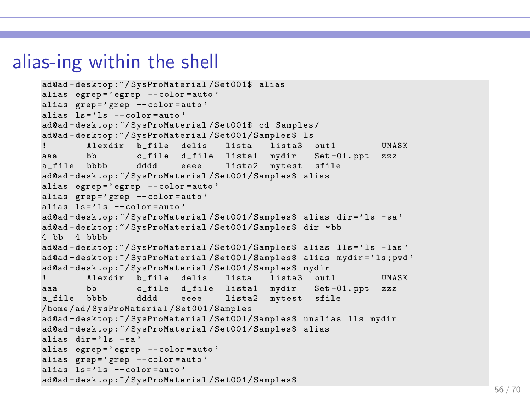### alias-ing within the shell

```
ad@ad - desktop :~/ SysProMaterial / Set001$ alias
alias egrep='egrep --color=auto'
alias grep='grep --color=auto'
alias le^2 ls - color =auto<sup>2</sup>
ad@ad - desktop :~/ SysProMaterial / Set001$ cd Samples /
ad@ad - desktop :~/ SysProMaterial / Set001 / Samples$ ls
        Alexdir b_file delis lista lista3 out1 UMASK
aaa bb c_file d_file lista1 mydir Set -01. ppt zzz
a_file bbbb dddd eeee lista2 mytest sfile
ad@ad - desktop :~/ SysProMaterial / Set001 / Samples$ alias
alias egrep='egrep --color=auto'
alias grep='grep --color=auto'
alias ls = 'ls - color = auto'ad@ad - desktop :~/ SysProMaterial / Set001 / Samples$ alias dir =' ls -sa '
ad@ad - desktop :~/ SysProMaterial / Set001 / Samples$ dir * bb
4 bb 4 bbbb
ad@ad-desktop: "/SysProMaterial/Set001/Samples$ alias lls='ls -las'
ad@ad - desktop :~/ SysProMaterial / Set001 / Samples$ alias mydir =' ls ; pwd '
ad@ad - desktop :~/ SysProMaterial / Set001 / Samples$ mydir
        Alexdir b_file delis lista lista3 out1 UMASK
aaa bb c_file d_file lista1 mydir Set -01. ppt zzz
a_file bbbb dddd eeee lista2 mytest sfile
/ home / ad / SysProMaterial / Set001 / Samples
ad@ad - desktop :~/ SysProMaterial / Set001 / Samples$ unalias lls mydir
ad@ad - desktop :~/ SysProMaterial / Set001 / Samples$ alias
alias dir =' ls -sa'
alias egrep =' egrep -- color = auto '
alias grep='grep --color=auto'
alias ls = 'ls - color = auto'ad@ad - desktop :~/ SysProMaterial / Set001 / Samples$
```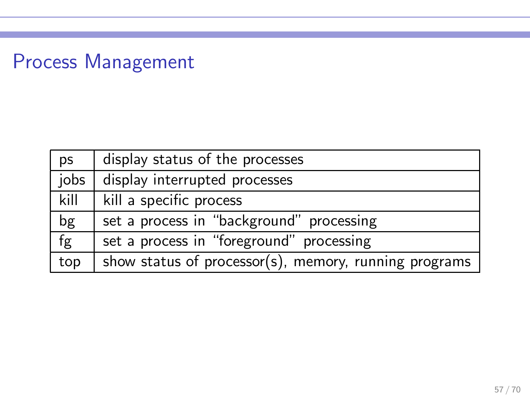# Process Management

| ps   | display status of the processes                       |  |
|------|-------------------------------------------------------|--|
| jobs | display interrupted processes                         |  |
| kill | kill a specific process                               |  |
| bg   | set a process in "background" processing              |  |
| fg   | set a process in "foreground" processing              |  |
| top  | show status of processor(s), memory, running programs |  |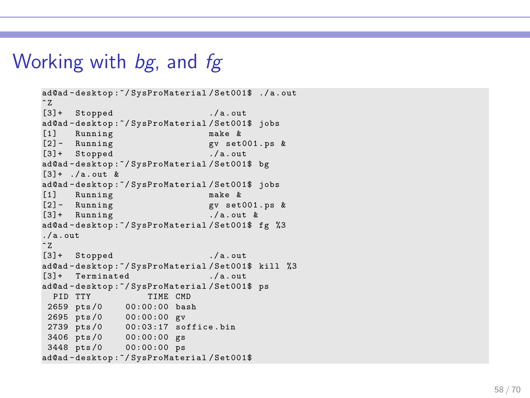### Working with bg, and fg

```
ad@ad - desktop :~/ SysProMaterial / Set001$ ./ a . out
~^{\circ} z
[3] + Stopped ./a.out
ad@ad - desktop :~/ SysProMaterial / Set001$ jobs
[1] Running make &<br>[2] - Running make gv set
                                 gv set001.ps &<br>./a.out
[3]+ Stopped
ad@ad - desktop :~/ SysProMaterial / Set001$ bg
[3]+ ./a.out &
ad@ad-desktop:~/SysProMaterial/Set001$ jobs<br>[1] Running make &
[1] Running<br>[2]- Running
                                 \sigma v set001 . ps \&[3] + Running ./a.out &
ad@ad - desktop :~/ SysProMaterial / Set001$ fg %3
/ a. out
~^{\circ} Z.
[3]+ Stopped ./ a . out
ad@ad - desktop :~/ SysProMaterial / Set001$ kill %3
[3] + Terminated ./a.out
ad@ad - desktop :~/ SysProMaterial / Set001$ ps
 PID TTY TIME CMD
2659 pts /0 00:00:00 bash
2695 pts /0 00:00:00 gv
2739 pts /0 00:03:17 soffice . bin
3406 pts /0 00:00:00 gs
 3448 pts /0 00:00:00 ps
ad@ad - desktop :~/ SysProMaterial / Set001$
```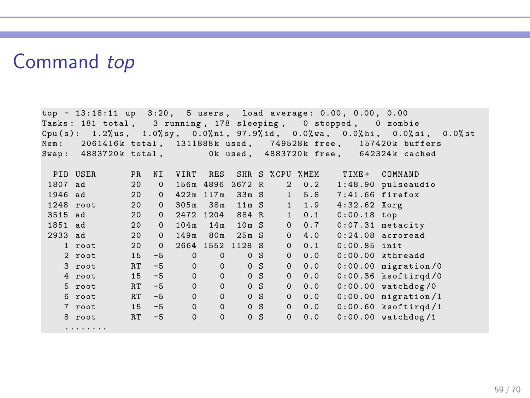#### Command top

top - 13:18:11 up 3:20, 5 users, load average: 0.00, 0.00, 0.00 Tasks: 181 total, 3 running, 178 sleeping, 0 stopped, 0 zombie  $Cpu(s): 1.2\%us, 1.0\%sv, 0.0\%ni, 97.9\%id, 0.0\%va, 0.0\%hi, 0.0\%si, 0.0\%st$ Mem: 2061416k total, 1311888k used, 749528k free, 157420k buffers<br>Swap: 4883720k total. 0k used. 4883720k free. 642324k cached 0k used, 4883720k free, 642324k cached PID USER PRANI VIRTARES SHR S % CPU % MEM TIME + COMMAND 1807 ad 20 0 156m 4896 3672 R 2 0.2 1:48.90 pulseaudio<br>1946 ad 20 0 422m 117m 33m S 1 5.8 7:41.66 firefox 20 0 422m 117m 33m S 1 5.8 7:41.66 fire:<br>20 0 305m 38m 11m S 1 1.9 4:32.62 Xorg 1248 root 20 0 305m 38m 11m S 1 1.9 4:32.62 Xorg<br>3515 ad 20 0 2472 1204 884 R 1 0.1 0:00.18 top 3515 ad 20 0 2472 1204 884 R 1 0.1 0:00.18 top 1851 ad 20 0 104 m 14 m 10 m S 0 0.7 0:07.31 metacity<br>2933 ad 20 0 149 m 25 m S 0 4 0 0:24 08 acrogad 20 0 149m 80m 25m S 0 4.0 1 root 20 0 2664 1552 1128 S 0 0.1 0:00.85 init 2 root 15 -5 0 0 0 S 0 0.0 0:00.00 kthreadd  $3$  root  $RT -5$ 4 root 15 -5 0 0 0 S 0 0.0 0:00.36 ksoftirqd /0 5 root RT -5 0 0 0 S 0 0.0 0:00.00 watchdog /0 6 root RT -5 0 0 0 S 0 0.0 0:00.00 migration /1 7 root 15 -5 0 0 0 0 0 0 0 0:00.60 ksoftirqd /1<br>8 root 15 -5 0 0 0 0 0 0 0 0:00.60 ksoftirqd /1 8 root RT -5 0 0 0 S ........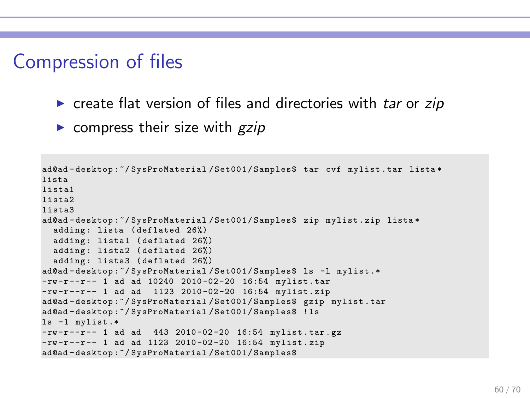### Compression of files

- $\triangleright$  create flat version of files and directories with tar or zip
- $\triangleright$  compress their size with  $gzip$

```
ad@ad - desktop :~/ SysProMaterial / Set001 / Samples$ tar cvf mylist . tar lista *
lista
lista1
lista2
lista3
ad@ad - desktop :~/ SysProMaterial / Set001 / Samples$ zip mylist . zip lista *
  adding: lista (deflated 26%)
  adding: lista1 (deflated 26%)
  adding: lista2 (deflated 26%)
  adding : lista3 ( deflated 26%)
ad@ad-desktop:"/SysProMaterial/Set001/Samples$ ls -1 mylist.*
-rw-r--r-- 1 ad ad 10240 2010-02-20 16:54 mylist.tar
-rw -r -r - 1 ad ad 1123 2010-02-20 16:54 mylist.zip
ad@ad - desktop :~/ SysProMaterial / Set001 / Samples$ gzip mylist . tar
ad@ad - desktop :~/ SysProMaterial / Set001 / Samples$ ! ls
ls -l mylist .*
-rw-r--r-- 1 ad ad 443 2010-02-20 16:54 mylist.tar.gz
-rw-r--r-- 1 ad ad 1123 2010-02-20 16:54 mylist.zip
ad@ad - desktop :~/ SysProMaterial / Set001 / Samples$
```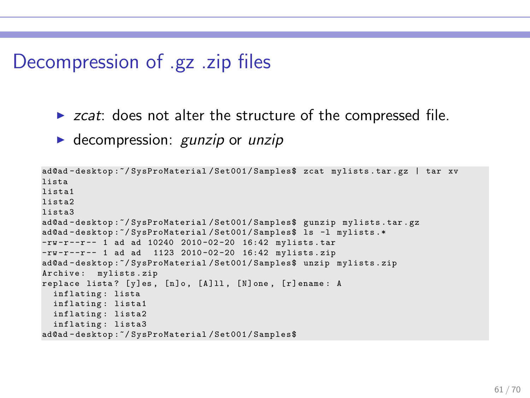### Decompression of .gz .zip files

- $\triangleright$  zcat: does not alter the structure of the compressed file.
- $\triangleright$  decompression: *gunzip* or *unzip*

```
ad@ad - desktop :~/ SysProMaterial / Set001 / Samples$ zcat mylists . tar . gz | tar xv
lista
lista1
lista2
lista3
ad@ad - desktop :~/ SysProMaterial / Set001 / Samples$ gunzip mylists . tar . gz
ad@ad-desktop:~/SysProMaterial/Set001/Samples$ ls -1 mylists.*
-rw -r --r -- 1 ad ad 10240 2010 -02 -20 16:42 mylists . tar
-rw -r --r -- 1 ad ad 1123 2010 -02 -20 16:42 mylists . zip
ad@ad - desktop :~/ SysProMaterial / Set001 / Samples$ unzip mylists . zip
Archive: mylists.zip
replace lista? [y]es, [n]o, [A]ll, [N]one, [r]ename: A
  inflating : lista
 inflating : lista1
 inflating : lista2
  inflating: lista3
ad@ad - desktop :~/ SysProMaterial / Set001 / Samples$
```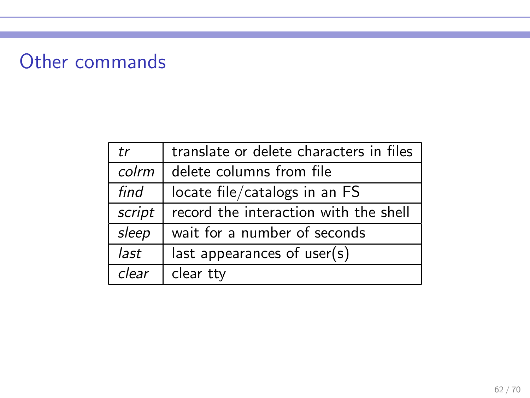# Other commands

| tr     | translate or delete characters in files |  |
|--------|-----------------------------------------|--|
| colrm  | delete columns from file                |  |
| find   | locate file/catalogs in an FS           |  |
| script | record the interaction with the shell   |  |
| sleep  | wait for a number of seconds            |  |
| last   | last appearances of user(s)             |  |
| clear  | clear tty                               |  |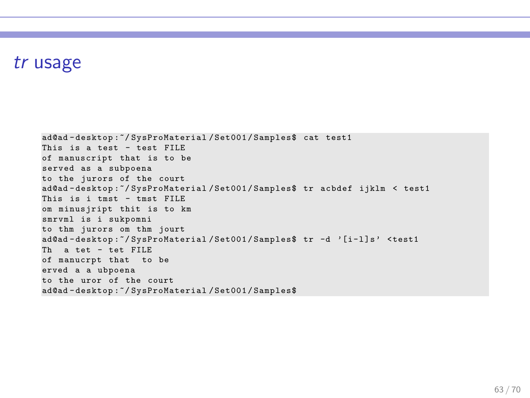#### tr usage

```
ad@ad - desktop :~/ SysProMaterial / Set001 / Samples$ cat test1
This is a test - test FILE
of manuscript that is to be
served as a subpoena
to the jurors of the court
ad@ad - desktop :~/ SysProMaterial / Set001 / Samples$ tr acbdef ijklm < test1
This is i tmst - tmst FILE
om minusjript thit is to km
smrvml is i sukpomni
to thm jurors om thm jourt
ad@ad-desktop:"/SysProMaterial/Set001/Samples$ tr -d '[i-l]s' <test1
Th a tet - tet FILE
of manucrpt that to be
erved a a ubpoena
to the uror of the court
ad@ad - desktop :~/ SysProMaterial / Set001 / Samples$
```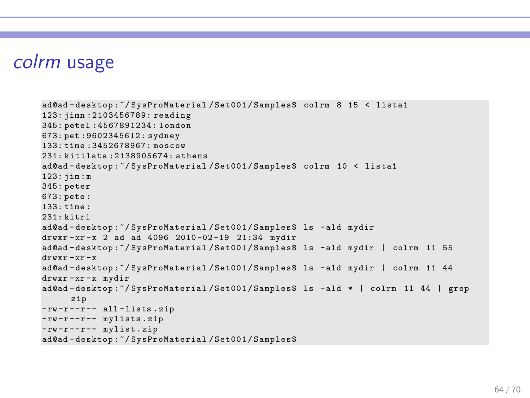#### colrm usage

```
ad@ad - desktop :~/ SysProMaterial / Set001 / Samples$ colrm 8 15 < lista1
123: jimn :2103456789: reading
345: petel :4567891234: london
673: pet :9602345612: sydney
133: time :3452678967: moscow
231: kitilata :2138905674: athens
ad@ad - desktop :~/ SysProMaterial / Set001 / Samples$ colrm 10 < lista1
123: jim : m
345: peter
673: pete :
133 \cdot time \cdot231: kitri
ad@ad - desktop :~/ SysProMaterial / Set001 / Samples$ ls - ald mydir
drwxr-xr-x 2 ad ad 4096 2010-02-19 21:34 mydir
ad@ad - desktop :~/ SysProMaterial / Set001 / Samples$ ls - ald mydir | colrm 11 55
drwxr -xr - x
ad@ad - desktop :~/ SysProMaterial / Set001 / Samples$ ls - ald mydir | colrm 11 44
drwxr -xr - x mydir
ad@ad - desktop :~/ SysProMaterial / Set001 / Samples$ ls - ald * | colrm 11 44 | grep
      zip
-rw-r--r-- all-lists.zip
-rw -r --r -- mylists . zip
-rw -r --r -- mylist . zip
ad@ad - desktop :~/ SysProMaterial / Set001 / Samples$
```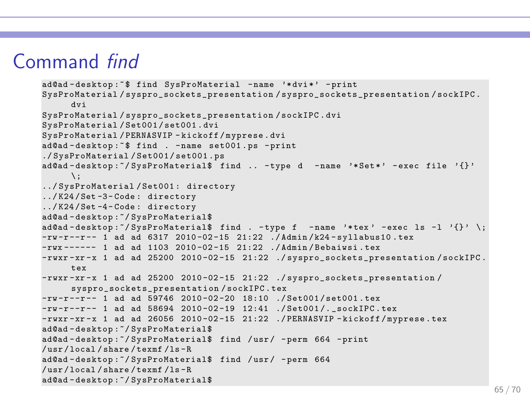### Command find

```
ad@ad - desktop :~ $ find SysProMaterial - name '* dvi *' - print
SysProMaterial/syspro_sockets_presentation/syspro_sockets_presentation/sockIPC.
     dvi
SvsProMaterial/syspro_sockets_presentation/sockIPC.dvi
SysProMaterial / Set001 / set001 . dvi
SysProMaterial / PERNASVIP - kickoff / myprese . dvi
ad@ad - desktop :~ $ find . - name set001 . ps - print
./ SysProMaterial / Set001 / set001 . ps
ad@ad-desktop:"/SysProMaterial$ find .. -type d -name '*Set*' -exec file '{}'
     \langle \cdot \rangle../ SysProMaterial / Set001 : directory
../ K24 / Set -3 - Code : directory
../ K24 / Set -4 - Code : directory
ad@ad - desktop :~/ SysProMaterial$
ad@ad-desktop:\check{ }/ SysProMaterial$ find . -type f -name '*tex' -exec ls -l '{}' \;
-rw-r--r-- 1 ad ad 6317 2010-02-15 21:22 ./Admin/k24-syllabus10.tex
-rwx ------ 1 ad ad 1103 2010-02-15 21:22 ./Admin/Bebaiwsi.tex
-rwxr-xr -x 1 ad ad 25200 2010-02-15 21:22 ./syspro_sockets_presentation/sockIPC.
     tex
-rwxr - xr - x 1 ad ad 25200 2010-02-15 21:22 ./syspro_sockets_presentation/
     syspro_sockets_presentation/sockIPC.tex
-rw-r-r-1 ad ad 59746 2010-02-20 18:10 ./Set001/set001.tex
-rw -r -r - 1 ad ad 58694 2010-02-19 12:41 ./Set001/. sockIPC.tex
-rwxr-xr-x 1 ad ad 26056 2010-02-15 21:22 ./PERNASVIP-kickoff/mvprese.tex
ad@ad - desktop :~/ SysProMaterial$
ad@ad - desktop :~/ SysProMaterial$ find / usr / - perm 664 - print
/ usr / local / share / texmf /ls - R
ad@ad - desktop :~/ SysProMaterial$ find / usr / - perm 664
/ usr / local / share / texmf /ls - R
ad@ad - desktop :~/ SysProMaterial$
```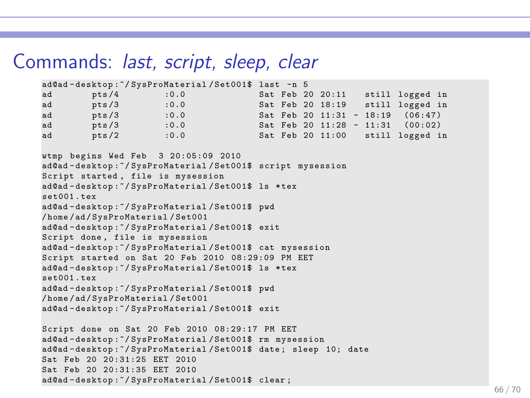#### Commands: last, script, sleep, clear

```
ad@ad-desktop:"/SysProMaterial/Set001$ last -n 5<br>ad pts/4 :0.0 Sat Feb 2
ad pts /4 :0.0 Sat Feb 20 20:11 still logged in<br>ad pts /3 :0.0 Sat Feb 20 18:19 still logged in
       pts /3 :0.0 Sat Feb 20 18:19 still logged in<br>
nts /3 :0.0 Sat Feb 20 11:31 - 18:19 (06:47)
ad pts /3 :0.0 Sat Feb 20 11:31 - 18:19 (06:47)<br>ad pts /3 :0.0 Sat Feb 20 11:28 - 11:31 (00:02)
      pts /3 :0.0 Sat Feb 20 11:28 - 11:31 (00:02)<br>pts /2 :0.0 Sat Feb 20 11:00 still logged i
ad pts /2 :0.0 Sat Feb 20 11:00 still logged in
wtmp begins Wed Feb 3 20:05:09 2010
ad@ad - desktop :~/ SysProMaterial / Set001$ script mysession
Script started, file is mysession
ad@ad - desktop :~/ SysProMaterial / Set001$ ls * tex
set001 . tex
ad@ad - desktop :~/ SysProMaterial / Set001$ pwd
/ home / ad / SysProMaterial / Set001
ad@ad - desktop :~/ SysProMaterial / Set001$ exit
Script done, file is mysession
ad@ad - desktop :~/ SysProMaterial / Set001$ cat mysession
Script started on Sat 20 Feb 2010 08:29:09 PM EET
ad@ad - desktop :~/ SysProMaterial / Set001$ ls * tex
set001 . tex
ad@ad - desktop :~/ SysProMaterial / Set001$ pwd
/ home / ad / SysProMaterial / Set001
ad@ad - desktop :~/ SysProMaterial / Set001$ exit
Script done on Sat 20 Feb 2010 08:29:17 PM EET
ad@ad - desktop :~/ SysProMaterial / Set001$ rm mysession
ad@ad - desktop :~/ SysProMaterial / Set001$ date ; sleep 10; date
Sat Feb 20 20:31:25 EET 2010
Sat Feb 20 20:31:35 EET 2010
ad@ad - desktop :~/ SysProMaterial / Set001$ clear ;
```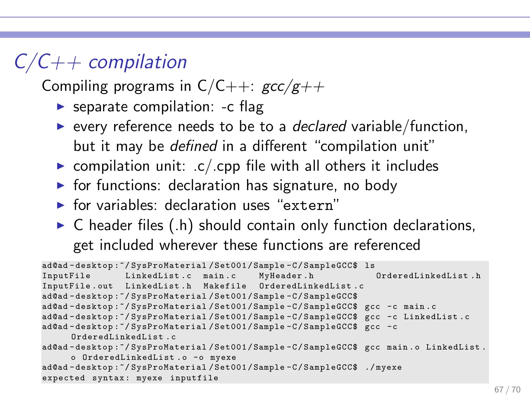# $C/C++$  compilation

Compiling programs in  $C/C++$ :  $\frac{acc}{g++}$ 

- $\triangleright$  separate compilation: -c flag
- $\triangleright$  every reference needs to be to a *declared* variable/function, but it may be defined in a different "compilation unit"
- $\triangleright$  compilation unit: .c/.cpp file with all others it includes
- $\triangleright$  for functions: declaration has signature, no body
- $\triangleright$  for variables: declaration uses "extern"
- $\triangleright$  C header files (.h) should contain only function declarations, get included wherever these functions are referenced

```
ad@ad - desktop :~/ SysProMaterial / Set001 / Sample - C / SampleGCC$ ls
                LinkedList.c main.c
InputFile . out LinkedList . h Makefile OrderedLinkedLi st .c
ad@ad - desktop :~/ SysProMaterial / Set001 / Sample - C / SampleGCC$
ad@ad - desktop :~/ SysProMaterial / Set001 / Sample - C / SampleGCC$ gcc -c main . c
ad@ad-desktop:"/SysProMaterial/Set001/Sample-C/SampleGCC$ gcc -c LinkedList.c
ad@ad-desktop:"/SysProMaterial/Set001/Sample-C/SampleGCC$ gcc -c
     OrderedLinkedL is t . c
ad@ad-desktop:"/SysProMaterial/Set001/Sample-C/SampleGCC$ gcc main.o LinkedList.
     o OrderedLinkedList.o -o myexe
ad@ad - desktop :~/ SysProMaterial / Set001 / Sample - C / SampleGCC$ ./ myexe
expected syntax: myexe inputfile
```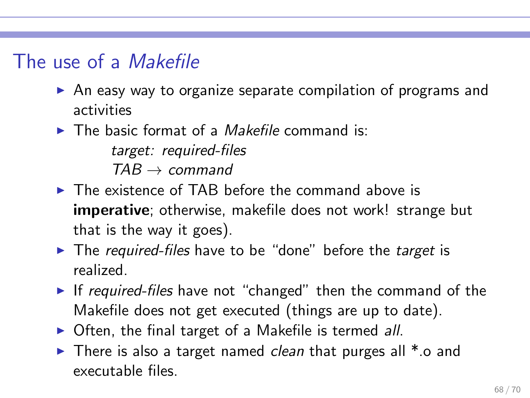### The use of a Makefile

- ▶ An easy way to organize separate compilation of programs and activities
- $\blacktriangleright$  The basic format of a *Makefile* command is: target: required-files  $TAB \rightarrow$  command
- $\triangleright$  The existence of TAB before the command above is imperative; otherwise, makefile does not work! strange but that is the way it goes).
- ► The required-files have to be "done" before the target is realized.
- ► If required-files have not "changed" then the command of the Makefile does not get executed (things are up to date).
- ▶ Often, the final target of a Makefile is termed all.
- $\triangleright$  There is also a target named *clean* that purges all  $*$  o and executable files.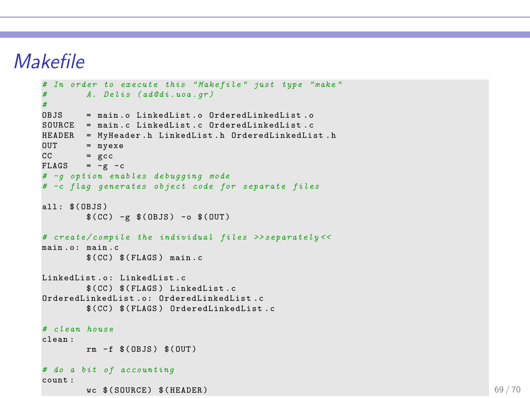### Makefile

```
# In order to execute this " Makefile " just type " make "
       # A . Delis ( ad@di . uoa . gr )
#
    OBJS = main . o LinkedList . o OrderedLinkedLi st . o
SOURCE = main.c LinkedList.c OrderedLinkedList.c
HEADER = MyHeader.h LinkedList.h OrderedLinkedList.h
OUT = myexeCC = \text{gcc}FLAGS = -g -c# -g option enables debugging mode
# -c flag generates object code for separate files
all: $ (0BJS)$(CC) -g $(OBJS) -o $ (OUT)# create / compile the individual files >> separately < <
main.o: main.c
       $(CC) $ (FLAGS) main.cLinkedList o: LinkedList c
       $(CC) $ (FLAGS) LinkedList.c
OrderedLinkedList.o: OrderedLinkedList.c
       $(CC) $(FLAGS) OrderedLinkedList.c
# clean house
clean :
       rm -f $ (OBJS) $ (OUT)
# do a bit of accounting
count :
       wc $ (SOURCE) $ (HEADER) 69/70
```